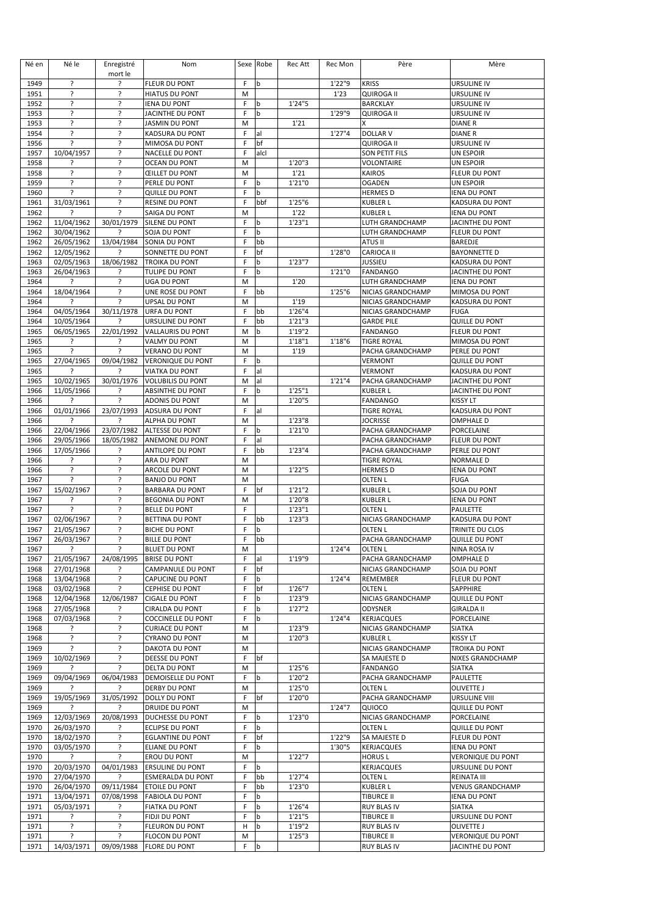| Né en        | Né le          | Enregistré     | Nom                                              |        | Sexe Robe | <b>Rec Att</b> | Rec Mon | Père                              | Mère                            |
|--------------|----------------|----------------|--------------------------------------------------|--------|-----------|----------------|---------|-----------------------------------|---------------------------------|
| 1949         | Ś.             | mort le<br>ŗ   | FLEUR DU PONT                                    | F      | b         |                | 1'22"9  | <b>KRISS</b>                      | <b>URSULINE IV</b>              |
| 1951         | $\overline{?}$ | 5.             | <b>HIATUS DU PONT</b>                            | M      |           |                | 1'23    | <b>QUIROGA II</b>                 | URSULINE IV                     |
| 1952         | ?              | ŗ              | <b>IENA DU PONT</b>                              | F      | b         | 1'24"5         |         | <b>BARCKLAY</b>                   | URSULINE IV                     |
| 1953         | ?              | 5.             | JACINTHE DU PONT                                 | F      | b         |                | 1'29"9  | <b>QUIROGA II</b>                 | <b>URSULINE IV</b>              |
| 1953         | ŗ              | ŗ              | <b>JASMIN DU PONT</b>                            | M      |           | 1'21           |         | X                                 | DIANE R                         |
| 1954         | ?              | ?              | KADSURA DU PONT                                  | F      | al        |                | 1'27''4 | <b>DOLLAR V</b>                   | <b>DIANER</b>                   |
| 1956         | ?              | ŗ              | MIMOSA DU PONT                                   | F      | bf        |                |         | <b>QUIROGA II</b>                 | URSULINE IV                     |
| 1957         | 10/04/1957     | ?              | <b>NACELLE DU PONT</b>                           | F      | alcl      |                |         | SON PETIT FILS                    | UN ESPOIR                       |
| 1958         | S.             | ?              | <b>OCEAN DU PONT</b>                             | M      |           | 1'20"3         |         | <b>VOLONTAIRE</b>                 | <b>UN ESPOIR</b>                |
| 1958         | ?              | ?              | <b>ŒILLET DU PONT</b>                            | M      |           | 1'21           |         | <b>KAIROS</b>                     | <b>FLEUR DU PONT</b>            |
| 1959         | ç.             | ŗ              | PERLE DU PONT                                    | F      | b         | 1'21"0         |         | <b>OGADEN</b>                     | UN ESPOIR                       |
| 1960         | <sup>2</sup>   | ?              | <b>QUILLE DU PONT</b>                            | F      | b         |                |         | <b>HERMES D</b>                   | <b>IENA DU PONT</b>             |
| 1961         | 31/03/1961     | S.             | <b>RESINE DU PONT</b>                            | F      | bbf       | 1'25"6         |         | <b>KUBLER L</b>                   | KADSURA DU PONT                 |
| 1962         | S.             | ŗ              | SAIGA DU PONT                                    | M      |           | 1'22           |         | <b>KUBLER L</b>                   | <b>IENA DU PONT</b>             |
| 1962         | 11/04/1962     | 30/01/1979     | SILENE DU PONT                                   | F      | b         | 1'23''1        |         | LUTH GRANDCHAMP                   | JACINTHE DU PONT                |
| 1962         | 30/04/1962     | ŗ              | SOJA DU PONT                                     | F      | b         |                |         | LUTH GRANDCHAMP                   | FLEUR DU PONT                   |
| 1962         | 26/05/1962     | 13/04/1984     | SONIA DU PONT                                    | F      | bb        |                |         | ATUS II                           | BAREDJE                         |
| 1962         | 12/05/1962     | ?              | SONNETTE DU PONT                                 | F      | bf        |                | 1'28"0  | CARIOCA II                        | <b>BAYONNETTE D</b>             |
| 1963         | 02/05/1963     | 18/06/1982     | <b>TROIKA DU PONT</b>                            | F      | b         | 1'23''7        |         | <b>JUSSIEU</b>                    | <b>KADSURA DU PONT</b>          |
| 1963         | 26/04/1963     | ?              | TULIPE DU PONT                                   | F      | b         |                | 1'21''0 | <b>FANDANGO</b>                   | JACINTHE DU PONT                |
| 1964         | Ś.             | 5.             | UGA DU PONT                                      | M      |           | 1'20           |         | <b>LUTH GRANDCHAMP</b>            | <b>IENA DU PONT</b>             |
| 1964         | 18/04/1964     | Ś.             | UNE ROSE DU PONT                                 | F      | bb        |                | 1'25''6 | NICIAS GRANDCHAMP                 | MIMOSA DU PONT                  |
| 1964         | 5              | ?              | <b>UPSAL DU PONT</b>                             | M      |           | 1'19           |         | NICIAS GRANDCHAMP                 | KADSURA DU PONT                 |
| 1964         | 04/05/1964     | 30/11/1978     | <b>URFA DU PONT</b>                              | F      | bb        | 1'26"4         |         | NICIAS GRANDCHAMP                 | <b>FUGA</b>                     |
| 1964         | 10/05/1964     | ?              | URSULINE DU PONT                                 | F      | bb        | 1'21''3        |         | <b>GARDE PILE</b>                 | <b>QUILLE DU PONT</b>           |
| 1965         | 06/05/1965     | 22/01/1992     | VALLAURIS DU PONT                                | M      | b         | 1'19"2         |         | <b>FANDANGO</b>                   | FLEUR DU PONT                   |
| 1965         | ŗ              | ŗ              | VALMY DU PONT                                    | M      |           | 1'18''1        | 1'18''6 | <b>TIGRE ROYAL</b>                | MIMOSA DU PONT                  |
| 1965         | ŗ              | ŗ              | <b>VERANO DU PONT</b>                            | M      |           | 1'19           |         | PACHA GRANDCHAMP                  | PERLE DU PONT                   |
| 1965         | 27/04/1965     | 09/04/1982     | <b>VERONIQUE DU PONT</b>                         | F      | b         |                |         | <b>VERMONT</b>                    | <b>QUILLE DU PONT</b>           |
| 1965         | ?              | ?              | <b>VIATKA DU PONT</b>                            | F      | al        |                |         | <b>VERMONT</b>                    | KADSURA DU PONT                 |
| 1965         | 10/02/1965     | 30/01/1976     | <b>VOLUBILIS DU PONT</b>                         | M      | al        |                | 1'21''4 | PACHA GRANDCHAMP                  | JACINTHE DU PONT                |
| 1966         | 11/05/1966     | ?              | <b>ABSINTHE DU PONT</b>                          | F      | b         | 1'25''1        |         | <b>KUBLER L</b>                   | JACINTHE DU PONT                |
| 1966         | 5.             | $\overline{?}$ | <b>ADONIS DU PONT</b>                            | M      |           | 1'20"5         |         | <b>FANDANGO</b>                   | <b>KISSY LT</b>                 |
| 1966         | 01/01/1966     | 23/07/1993     | <b>ADSURA DU PONT</b>                            | F      | al        |                |         | <b>TIGRE ROYAL</b>                | KADSURA DU PONT                 |
| 1966         | ć.             | ?              | ALPHA DU PONT                                    | M      |           | 1'23"8         |         | <b>JOCRISSE</b>                   | <b>OMPHALE D</b>                |
| 1966         | 22/04/1966     | 23/07/1982     | <b>ALTESSE DU PONT</b>                           | F      | b         | 1'21"0         |         | PACHA GRANDCHAMP                  | PORCELAINE                      |
| 1966         | 29/05/1966     | 18/05/1982     | <b>ANEMONE DU PONT</b>                           | F      | al        |                |         | PACHA GRANDCHAMP                  | FLEUR DU PONT                   |
| 1966         | 17/05/1966     | ?              | ANTILOPE DU PONT                                 | F      | bb        | 1'23''4        |         | PACHA GRANDCHAMP                  | PERLE DU PONT                   |
| 1966         | S.             | ŗ              | ARA DU PONT                                      | M      |           |                |         | <b>TIGRE ROYAL</b>                | <b>NORMALE D</b>                |
| 1966         | ?<br>?         | Ś.<br>?        | ARCOLE DU PONT                                   | M      |           | 1'22"5         |         | <b>HERMES D</b><br><b>OLTEN L</b> | <b>IENA DU PONT</b>             |
| 1967<br>1967 | 15/02/1967     | ŗ              | <b>BANJO DU PONT</b>                             | M<br>F |           | 1'21''2        |         | <b>KUBLER L</b>                   | <b>FUGA</b><br>SOJA DU PONT     |
| 1967         | ç              | S.             | <b>BARBARA DU PONT</b><br><b>BEGONIA DU PONT</b> | M      | bf        | 1'20"8         |         | <b>KUBLER L</b>                   |                                 |
| 1967         | ?              | 5.             | <b>BELLE DU PONT</b>                             | F      |           | 1'23''1        |         | <b>OLTEN L</b>                    | <b>IENA DU PONT</b><br>PAULETTE |
| 1967         | 02/06/1967     | S.             | <b>BETTINA DU PONT</b>                           | F      | bb        | 1'23''3        |         | NICIAS GRANDCHAMP                 | KADSURA DU PONT                 |
| 1967         | 21/05/1967     | 5.             | <b>BICHE DU PONT</b>                             | F      | b         |                |         | <b>OLTEN L</b>                    | TRINITE DU CLOS                 |
| 1967         | 26/03/1967     | S.             | <b>BILLE DU PONT</b>                             | F      | bb        |                |         | PACHA GRANDCHAMP                  | <b>QUILLE DU PONT</b>           |
| 1967         | ŗ              | ?              | <b>BLUET DU PONT</b>                             | M      |           |                | 1'24''4 | OLTEN L                           | NINA ROSA IV                    |
| 1967         | 21/05/1967     | 24/08/1995     | <b>BRISE DU PONT</b>                             | F      | al        | 1'19"9         |         | PACHA GRANDCHAMP                  | <b>OMPHALE D</b>                |
| 1968         | 27/01/1968     | ?              | CAMPANULE DU PONT                                | F      | bf        |                |         | NICIAS GRANDCHAMP                 | SOJA DU PONT                    |
| 1968         | 13/04/1968     | ŗ              | <b>CAPUCINE DU PONT</b>                          | F      | b         |                | 1'24''4 | REMEMBER                          | FLEUR DU PONT                   |
| 1968         | 03/02/1968     | 5.             | CEPHISE DU PONT                                  | F      | bf        | 1'26"7         |         | <b>OLTEN L</b>                    | SAPPHIRE                        |
| 1968         | 12/04/1968     | 12/06/1987     | <b>CIGALE DU PONT</b>                            | F      | b         | 1'23"9         |         | NICIAS GRANDCHAMP                 | <b>QUILLE DU PONT</b>           |
| 1968         | 27/05/1968     | ?              | <b>CIRALDA DU PONT</b>                           | F      | þ         | 1'27''2        |         | <b>ODYSNER</b>                    | <b>GIRALDA II</b>               |
| 1968         | 07/03/1968     | ?              | <b>COCCINELLE DU PONT</b>                        | F.     | b         |                | 1'24''4 | <b>KERJACQUES</b>                 | PORCELAINE                      |
| 1968         | ?              | ?              | <b>CURIACE DU PONT</b>                           | M      |           | 1'23"9         |         | NICIAS GRANDCHAMP                 | <b>SIATKA</b>                   |
| 1968         | S.             | ?              | <b>CYRANO DU PONT</b>                            | M      |           | 1'20"3         |         | <b>KUBLER L</b>                   | KISSY LT                        |
| 1969         | ?              | ?              | DAKOTA DU PONT                                   | M      |           |                |         | NICIAS GRANDCHAMP                 | TROIKA DU PONT                  |
| 1969         | 10/02/1969     | ŗ              | DEESSE DU PONT                                   | F      | bf        |                |         | SA MAJESTE D                      | NIXES GRANDCHAMP                |
| 1969         | ?              | <sup>2</sup>   | DELTA DU PONT                                    | M      |           | 1'25"6         |         | <b>FANDANGO</b>                   | <b>SIATKA</b>                   |
| 1969         | 09/04/1969     | 06/04/1983     | <b>DEMOISELLE DU PONT</b>                        | F      | b         | 1'20"2         |         | PACHA GRANDCHAMP                  | PAULETTE                        |
| 1969         | S.             | ŗ              | <b>DERBY DU PONT</b>                             | M      |           | 1'25"0         |         | <b>OLTEN L</b>                    | OLIVETTE J                      |
| 1969         | 19/05/1969     | 31/05/1992     | DOLLY DU PONT                                    | F      | bf        | 1'20"0         |         | PACHA GRANDCHAMP                  | URSULINE VIII                   |
| 1969         | ?              | ŗ              | DRUIDE DU PONT                                   | M      |           |                | 1'24"7  | QUIOCO                            | <b>QUILLE DU PONT</b>           |
| 1969         | 12/03/1969     | 20/08/1993     | DUCHESSE DU PONT                                 | F      | b         | 1'23"0         |         | NICIAS GRANDCHAMP                 | PORCELAINE                      |
| 1970         | 26/03/1970     | ?              | <b>ECLIPSE DU PONT</b>                           | F      | b         |                |         | <b>OLTEN L</b>                    | QUILLE DU PONT                  |
| 1970         | 18/02/1970     | ?              | <b>EGLANTINE DU PONT</b>                         | F      | bf        |                | 1'22"9  | SA MAJESTE D                      | FLEUR DU PONT                   |
| 1970         | 03/05/1970     | ŗ              | <b>ELIANE DU PONT</b>                            | F      | b         |                | 1'30"5  | <b>KERJACQUES</b>                 | <b>IENA DU PONT</b>             |
| 1970         | ?              | ?              | EROU DU PONT                                     | M      |           | 1'22"7         |         | <b>HORUS L</b>                    | <b>VERONIQUE DU PONT</b>        |
| 1970         | 20/03/1970     | 04/01/1983     | <b>ERSULINE DU PONT</b>                          | F      | b         |                |         | <b>KERJACQUES</b>                 | URSULINE DU PONT                |
| 1970         | 27/04/1970     | ?              | <b>ESMERALDA DU PONT</b>                         | F      | bb        | 1'27''4        |         | OLTEN L                           | REINATA III                     |
| 1970         | 26/04/1970     | 09/11/1984     | ETOILE DU PONT                                   | F      | bb        | 1'23"0         |         | <b>KUBLER L</b>                   | <b>VENUS GRANDCHAMP</b>         |
| 1971         | 13/04/1971     | 07/08/1998     | <b>FABIOLA DU PONT</b>                           | F      | b         |                |         | <b>TIBURCE II</b>                 | <b>IENA DU PONT</b>             |
| 1971         | 05/03/1971     | ?              | <b>FIATKA DU PONT</b>                            | F      | b         | 1'26"4         |         | <b>RUY BLAS IV</b>                | SIATKA                          |
| 1971         | ?              | 5.             | FIDJI DU PONT                                    | F      | b         | 1'21''5        |         | <b>TIBURCE II</b>                 | URSULINE DU PONT                |
| 1971         | ?              | ŗ              | FLEURON DU PONT                                  | н      | b         | 1'19"2         |         | <b>RUY BLAS IV</b>                | OLIVETTE J                      |
| 1971         | ?              | ?              | FLOCON DU PONT                                   | M      |           | 1'25''3        |         | <b>TIBURCE II</b>                 | <b>VERONIQUE DU PONT</b>        |
| 1971         | 14/03/1971     | 09/09/1988     | <b>FLORE DU PONT</b>                             | F.     | b         |                |         | <b>RUY BLAS IV</b>                | JACINTHE DU PONT                |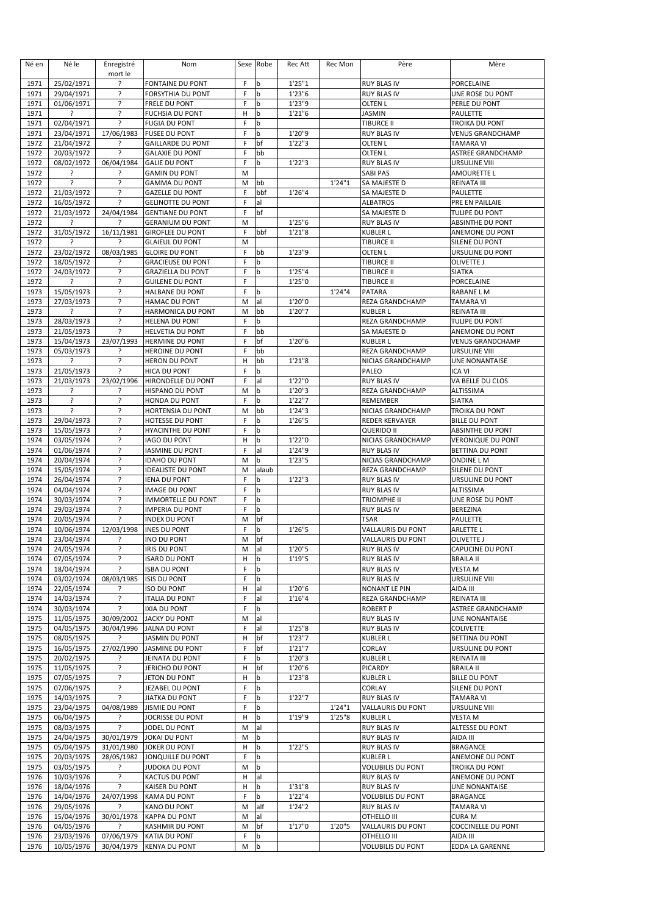| Né en        | Né le                    | Enregistré<br>mort le | Nom                                              |             | Sexe Robe  | Rec Att | Rec Mon | Père                                          | Mère                                    |
|--------------|--------------------------|-----------------------|--------------------------------------------------|-------------|------------|---------|---------|-----------------------------------------------|-----------------------------------------|
| 1971         | 25/02/1971               | ?                     | <b>FONTAINE DU PONT</b>                          | F           | þ          | 1'25''1 |         | <b>RUY BLAS IV</b>                            | PORCELAINE                              |
| 1971         | 29/04/1971               | ŗ                     | <b>FORSYTHIA DU PONT</b>                         | F           | b          | 1'23''6 |         | <b>RUY BLAS IV</b>                            | UNE ROSE DU PONT                        |
| 1971         | 01/06/1971               | ŗ                     | <b>FRELE DU PONT</b>                             | F           | b          | 1'23"9  |         | <b>OLTEN L</b>                                | PERLE DU PONT                           |
| 1971         | ?                        | ?                     | <b>FUCHSIA DU PONT</b>                           | н           | b          | 1'21''6 |         | <b>JASMIN</b>                                 | PAULETTE                                |
| 1971         | 02/04/1971               | ?                     | <b>FUGIA DU PONT</b>                             | F           | b          |         |         | <b>TIBURCE II</b>                             | <b>TROIKA DU PONT</b>                   |
| 1971         | 23/04/1971               | 17/06/1983            | <b>FUSEE DU PONT</b>                             | F           | b          | 1'20"9  |         | <b>RUY BLAS IV</b>                            | <b>VENUS GRANDCHAMP</b>                 |
| 1972         | 21/04/1972               | ŗ                     | <b>GAILLARDE DU PONT</b>                         | F           | bf         | 1'22''3 |         | <b>OLTEN L</b>                                | <b>TAMARA VI</b>                        |
| 1972         | 20/03/1972               | ?                     | <b>GALAXIE DU PONT</b>                           | F           | bb         |         |         | <b>OLTEN L</b>                                | ASTREE GRANDCHAMP                       |
| 1972         | 08/02/1972               | 06/04/1984            | <b>GALIE DU PONT</b>                             | F           | b          | 1'22''3 |         | <b>RUY BLAS IV</b>                            | URSULINE VIII                           |
| 1972<br>1972 | ?<br>Ś.                  | ?<br>?                | <b>GAMIN DU PONT</b>                             | M<br>M      | bb         |         | 1'24''1 | <b>SABI PAS</b>                               | AMOURETTE L                             |
| 1972         | 21/03/1972               | ?                     | <b>GAMMA DU PONT</b><br><b>GAZELLE DU PONT</b>   | F           | bbf        | 1'26"4  |         | SA MAJESTE D<br>SA MAJESTE D                  | <b>REINATA III</b><br>PAULETTE          |
| 1972         | 16/05/1972               | ?                     | <b>GELINOTTE DU PONT</b>                         | F           | al         |         |         | <b>ALBATROS</b>                               | PRE EN PAILLAIE                         |
| 1972         | 21/03/1972               | 24/04/1984            | <b>GENTIANE DU PONT</b>                          | $\mathsf F$ | bf         |         |         | SA MAJESTE D                                  | TULIPE DU PONT                          |
| 1972         | ?                        | ?                     | <b>GERANIUM DU PONT</b>                          | M           |            | 1'25"6  |         | <b>RUY BLAS IV</b>                            | ABSINTHE DU PONT                        |
| 1972         | 31/05/1972               | 16/11/1981            | <b>GIROFLEE DU PONT</b>                          | F           | bbf        | 1'21''8 |         | <b>KUBLER L</b>                               | ANEMONE DU PONT                         |
| 1972         | ?                        | ?                     | <b>GLAIEUL DU PONT</b>                           | M           |            |         |         | <b>TIBURCE II</b>                             | SILENE DU PONT                          |
| 1972         | 23/02/1972               | 08/03/1985            | <b>GLOIRE DU PONT</b>                            | F           | bb         | 1'23"9  |         | <b>OLTEN L</b>                                | URSULINE DU PONT                        |
| 1972         | 18/05/1972               | ?                     | <b>GRACIEUSE DU PONT</b>                         | F           | b          |         |         | <b>TIBURCE II</b>                             | OLIVETTE J                              |
| 1972         | 24/03/1972               | S.                    | <b>GRAZIELLA DU PONT</b>                         | $\mathsf F$ | þ          | 1'25''4 |         | <b>TIBURCE II</b>                             | <b>SIATKA</b>                           |
| 1972         | ?                        | ?                     | <b>GUILENE DU PONT</b>                           | F           |            | 1'25"0  |         | <b>TIBURCE II</b>                             | PORCELAINE                              |
| 1973         | 15/05/1973               | ?                     | HALBANE DU PONT                                  | F           | b          |         | 1'24''4 | <b>PATARA</b>                                 | RABANE L M                              |
| 1973         | 27/03/1973               | ?                     | HAMAC DU PONT                                    | M           | al         | 1'20"0  |         | REZA GRANDCHAMP                               | <b>TAMARA VI</b>                        |
| 1973         | 5.<br>28/03/1973         | ?                     | HARMONICA DU PONT                                | M           | bb         | 1'20"7  |         | <b>KUBLER L</b>                               | REINATA III                             |
| 1973<br>1973 |                          | ŗ<br>?                | <b>HELENA DU PONT</b><br><b>HELVETIA DU PONT</b> | F<br>F      | b<br>bb    |         |         | <b>REZA GRANDCHAMP</b><br><b>SA MAJESTE D</b> | TULIPE DU PONT<br>ANEMONE DU PONT       |
| 1973         | 21/05/1973<br>15/04/1973 | 23/07/1993            | <b>HERMINE DU PONT</b>                           | F           | bf         | 1'20"6  |         | <b>KUBLER L</b>                               | <b>VENUS GRANDCHAMP</b>                 |
| 1973         | 05/03/1973               | ?                     | <b>HEROINE DU PONT</b>                           | F           | bb         |         |         | REZA GRANDCHAMP                               | URSULINE VIII                           |
| 1973         | ?                        | ?                     | <b>HERON DU PONT</b>                             | H           | bb         | 1'21''8 |         | NICIAS GRANDCHAMP                             | <b>UNE NONANTAISE</b>                   |
| 1973         | 21/05/1973               | ?                     | <b>HICA DU PONT</b>                              | F           | b          |         |         | PALEO                                         | <b>ICA VI</b>                           |
| 1973         | 21/03/1973               | 23/02/1996            | HIRONDELLE DU PONT                               | F           | al         | 1'22"0  |         | <b>RUY BLAS IV</b>                            | VA BELLE DU CLOS                        |
| 1973         | ?                        | ?                     | <b>HISPANO DU PONT</b>                           | M           | þ          | 1'20"3  |         | REZA GRANDCHAMP                               | ALTISSIMA                               |
| 1973         | ŗ                        | ?                     | <b>HONDA DU PONT</b>                             | F           | b          | 1'22"7  |         | REMEMBER                                      | <b>SIATKA</b>                           |
| 1973         | 5.                       | ?                     | HORTENSIA DU PONT                                | M           | bb         | 1'24"3  |         | NICIAS GRANDCHAMP                             | TROIKA DU PONT                          |
| 1973         | 29/04/1973               | ?                     | HOTESSE DU PONT                                  | F           | b          | 1'26"5  |         | <b>REDER KERVAYER</b>                         | <b>BILLE DU PONT</b>                    |
| 1973         | 15/05/1973               | ŗ                     | HYACINTHE DU PONT                                | F           | b          |         |         | <b>QUERIDO II</b>                             | ABSINTHE DU PONT                        |
| 1974         | 03/05/1974               | S.                    | <b>IAGO DU PONT</b>                              | н           | þ          | 1'22"0  |         | NICIAS GRANDCHAMP                             | <b>VERONIQUE DU PONT</b>                |
| 1974         | 01/06/1974               | ŗ                     | <b>IASMINE DU PONT</b>                           | F           | al         | 1'24"9  |         | <b>RUY BLAS IV</b>                            | BETTINA DU PONT                         |
| 1974<br>1974 | 20/04/1974               | S.<br>ŗ               | <b>IDAHO DU PONT</b>                             | M<br>M      | b<br>alaub | 1'23''5 |         | NICIAS GRANDCHAMP                             | <b>ONDINE LM</b>                        |
| 1974         | 15/05/1974<br>26/04/1974 | ?                     | <b>IDEALISTE DU PONT</b><br><b>IENA DU PONT</b>  | F           | b          | 1'22''3 |         | REZA GRANDCHAMP<br><b>RUY BLAS IV</b>         | SILENE DU PONT<br>URSULINE DU PONT      |
| 1974         | 04/04/1974               | S.                    | <b>IMAGE DU PONT</b>                             | F           | b          |         |         | <b>RUY BLAS IV</b>                            | ALTISSIMA                               |
| 1974         | 30/03/1974               | ?                     | IMMORTELLE DU PONT                               | F           | b          |         |         | TRIOMPHE II                                   | UNE ROSE DU PONT                        |
| 1974         | 29/03/1974               | ŗ                     | <b>IMPERIA DU PONT</b>                           | F           | þ          |         |         | <b>RUY BLAS IV</b>                            | BEREZINA                                |
| 1974         | 20/05/1974               | ?                     | <b>INDEX DU PONT</b>                             | M           | bf         |         |         | <b>TSAR</b>                                   | PAULETTE                                |
| 1974         | 10/06/1974               | 12/03/1998            | <b>INES DU PONT</b>                              | F           | b          | 1'26"5  |         | VALLAURIS DU PONT                             | <b>ARLETTE L</b>                        |
| 1974         | 23/04/1974               | ?                     | INO DU PONT                                      | M           | bf         |         |         | VALLAURIS DU PONT                             | OLIVETTE J                              |
| 1974         | 24/05/1974               | ?                     | <b>IRIS DU PONT</b>                              | м           | lal        | 1'20"5  |         | <b>RUY BLAS IV</b>                            | <b>CAPUCINE DU PONT</b>                 |
| 1974         | 07/05/1974               | ŗ                     | <b>ISARD DU PONT</b>                             | н           | b          | 1'19"5  |         | <b>RUY BLAS IV</b>                            | <b>BRAILA II</b>                        |
| 1974         | 18/04/1974               | S.                    | <b>ISBA DU PONT</b>                              | F           | b          |         |         | <b>RUY BLAS IV</b>                            | <b>VESTA M</b>                          |
| 1974         | 03/02/1974               | 08/03/1985            | <b>ISIS DU PONT</b>                              | F           | þ          |         |         | <b>RUY BLAS IV</b>                            | URSULINE VIII                           |
| 1974         | 22/05/1974               | ŗ                     | <b>ISO DU PONT</b>                               | н           | al         | 1'20"6  |         | NONANT LE PIN                                 | AIDA III                                |
| 1974<br>1974 | 14/03/1974<br>30/03/1974 | ?<br>S.               | ITALIA DU PONT<br><b>IXIA DU PONT</b>            | F<br>F      | al<br>b    | 1'16''4 |         | REZA GRANDCHAMP<br><b>ROBERT P</b>            | REINATA III<br><b>ASTREE GRANDCHAMP</b> |
| 1975         | 11/05/1975               | 30/09/2002            | JACKY DU PONT                                    | M           | al         |         |         | <b>RUY BLAS IV</b>                            | UNE NONANTAISE                          |
| 1975         | 04/05/1975               | 30/04/1996            | JALNA DU PONT                                    | F           | al         | 1'25"8  |         | <b>RUY BLAS IV</b>                            | <b>COLIVETTE</b>                        |
| 1975         | 08/05/1975               | ?                     | JASMIN DU PONT                                   | н           | bf         | 1'23"7  |         | <b>KUBLER L</b>                               | BETTINA DU PONT                         |
| 1975         | 16/05/1975               | 27/02/1990            | <b>JASMINE DU PONT</b>                           | F           | bf         | 1'21''7 |         | CORLAY                                        | URSULINE DU PONT                        |
| 1975         | 20/02/1975               | 3                     | JEINATA DU PONT                                  | F           | b          | 1'20"3  |         | <b>KUBLER L</b>                               | REINATA III                             |
| 1975         | 11/05/1975               | S.                    | JERICHO DU PONT                                  | н           | bf         | 1'20"6  |         | PICARDY                                       | <b>BRAILA II</b>                        |
| 1975         | 07/05/1975               | ŗ                     | JETON DU PONT                                    | н           | b          | 1'23"8  |         | <b>KUBLER L</b>                               | <b>BILLE DU PONT</b>                    |
| 1975         | 07/06/1975               | S.                    | JEZABEL DU PONT                                  | F           | þ          |         |         | CORLAY                                        | SILENE DU PONT                          |
| 1975         | 14/03/1975               | ?                     | <b>JIATKA DU PONT</b>                            | F           | b          | 1'22"7  |         | <b>RUY BLAS IV</b>                            | TAMARA VI                               |
| 1975         | 23/04/1975               | 04/08/1989            | <b>JISMIE DU PONT</b>                            | F           | þ          |         | 1'24''1 | VALLAURIS DU PONT                             | URSULINE VIII                           |
| 1975         | 06/04/1975               | ?<br>?                | JOCRISSE DU PONT                                 | н           | b          | 1'19"9  | 1'25"8  | <b>KUBLER L</b>                               | VESTA M                                 |
| 1975         | 08/03/1975               | 30/01/1979            | JODEL DU PONT                                    | M           | al<br>b    |         |         | <b>RUY BLAS IV</b>                            | ALTESSE DU PONT                         |
| 1975<br>1975 | 24/04/1975<br>05/04/1975 | 31/01/1980            | JOKAI DU PONT<br>JOKER DU PONT                   | M<br>н      | b          | 1'22"5  |         | <b>RUY BLAS IV</b><br><b>RUY BLAS IV</b>      | AIDA III<br><b>BRAGANCE</b>             |
| 1975         | 20/03/1975               | 28/05/1982            | JONQUILLE DU PONT                                | F           | b          |         |         | <b>KUBLER L</b>                               | ANEMONE DU PONT                         |
| 1975         | 03/05/1975               | ?                     | JUDOKA DU PONT                                   | M           | b          |         |         | <b>VOLUBILIS DU PONT</b>                      | TROIKA DU PONT                          |
| 1976         | 10/03/1976               | ?                     | <b>KACTUS DU PONT</b>                            | н           | al         |         |         | <b>RUY BLAS IV</b>                            | ANEMONE DU PONT                         |
| 1976         | 18/04/1976               | ?                     | KAISER DU PONT                                   | н           | b          | 1'31"8  |         | <b>RUY BLAS IV</b>                            | <b>UNE NONANTAISE</b>                   |
| 1976         | 14/04/1976               | 24/07/1998            | <b>KAMA DU PONT</b>                              | F           | b          | 1'22"4  |         | <b>VOLUBILIS DU PONT</b>                      | <b>BRAGANCE</b>                         |
| 1976         | 29/05/1976               | ?                     | KANO DU PONT                                     | M           | alf        | 1'24"2  |         | <b>RUY BLAS IV</b>                            | <b>TAMARA VI</b>                        |
| 1976         | 15/04/1976               | 30/01/1978            | <b>KAPPA DU PONT</b>                             | M           | al         |         |         | OTHELLO III                                   | <b>CURA M</b>                           |
| 1976         | 04/05/1976               | ?                     | KASHMIR DU PONT                                  | M           | bf         | 1'17"0  | 1'20"5  | VALLAURIS DU PONT                             | COCCINELLE DU PONT                      |
| 1976         | 23/03/1976               | 07/06/1979            | <b>KATIA DU PONT</b>                             | F           | b          |         |         | OTHELLO III                                   | AIDA III                                |
| 1976         | 10/05/1976               | 30/04/1979            | <b>KENYA DU PONT</b>                             | M           | b          |         |         | <b>VOLUBILIS DU PONT</b>                      | EDDA LA GARENNE                         |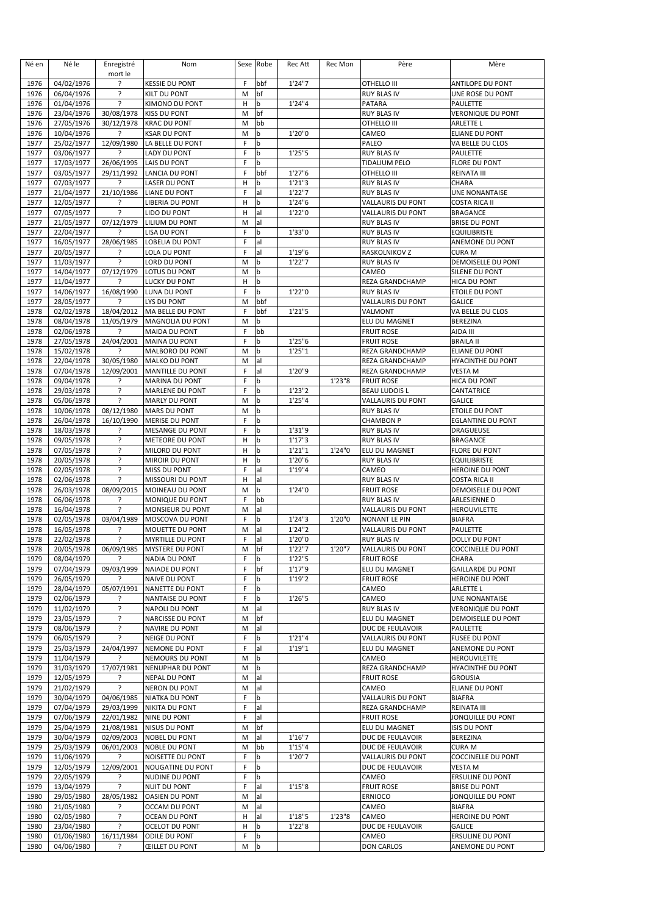| Né en        | Né le                    | Enregistré<br>mort le | Nom                                              |                  | Sexe Robe | Rec Att           | Rec Mon | Père                                      | Mère                                       |
|--------------|--------------------------|-----------------------|--------------------------------------------------|------------------|-----------|-------------------|---------|-------------------------------------------|--------------------------------------------|
| 1976         | 04/02/1976               | ?                     | <b>KESSIE DU PONT</b>                            | F                | bbf       | 1'24"7            |         | OTHELLO III                               | ANTILOPE DU PONT                           |
| 1976         | 06/04/1976               | ŗ                     | <b>KILT DU PONT</b>                              | M                | bf        |                   |         | <b>RUY BLAS IV</b>                        | UNE ROSE DU PONT                           |
| 1976         | 01/04/1976               | ?                     | KIMONO DU PONT                                   | H                | b         | 1'24"4            |         | PATARA                                    | PAULETTE                                   |
| 1976         | 23/04/1976               | 30/08/1978            | <b>KISS DU PONT</b>                              | M                | bf        |                   |         | <b>RUY BLAS IV</b>                        | <b>VERONIQUE DU PONT</b>                   |
| 1976<br>1976 | 27/05/1976<br>10/04/1976 | 30/12/1978<br>ŗ       | <b>KRAC DU PONT</b><br><b>KSAR DU PONT</b>       | M<br>M           | bb<br>b   | 1'20"0            |         | OTHELLO III<br>CAMEO                      | <b>ARLETTE L</b><br><b>ELIANE DU PONT</b>  |
| 1977         | 25/02/1977               | 12/09/1980            | LA BELLE DU PONT                                 | F                | b         |                   |         | PALEO                                     | VA BELLE DU CLOS                           |
| 1977         | 03/06/1977               | 5.                    | <b>LADY DU PONT</b>                              | F                | b         | 1'25"5            |         | <b>RUY BLAS IV</b>                        | PAULETTE                                   |
| 1977         | 17/03/1977               | 26/06/1995            | <b>LAIS DU PONT</b>                              | F                | b         |                   |         | TIDALIUM PELO                             | <b>FLORE DU PONT</b>                       |
| 1977         | 03/05/1977               | 29/11/1992            | <b>LANCIA DU PONT</b>                            | F                | bbf       | 1'27"6            |         | OTHELLO III                               | REINATA III                                |
| 1977         | 07/03/1977               | ?                     | <b>LASER DU PONT</b>                             | н                | b         | 1'21''3           |         | <b>RUY BLAS IV</b>                        | CHARA                                      |
| 1977         | 21/04/1977               | 21/10/1986            | <b>LIANE DU PONT</b>                             | F                | al        | 1'22"7            |         | <b>RUY BLAS IV</b>                        | <b>UNE NONANTAISE</b>                      |
| 1977<br>1977 | 12/05/1977               | ŗ<br>?                | LIBERIA DU PONT                                  | н<br>н           | b<br>al   | 1'24"6<br>1'22"0  |         | <b>VALLAURIS DU PONT</b>                  | <b>COSTA RICA II</b><br><b>BRAGANCE</b>    |
| 1977         | 07/05/1977<br>21/05/1977 | 07/12/1979            | LIDO DU PONT<br>LILIUM DU PONT                   | M                | al        |                   |         | VALLAURIS DU PONT<br><b>RUY BLAS IV</b>   | <b>BRISE DU PONT</b>                       |
| 1977         | 22/04/1977               | ?                     | <b>LISA DU PONT</b>                              | F                | b         | 1'33"0            |         | <b>RUY BLAS IV</b>                        | <b>EQUILIBRISTE</b>                        |
| 1977         | 16/05/1977               | 28/06/1985            | LOBELIA DU PONT                                  | F                | al        |                   |         | <b>RUY BLAS IV</b>                        | ANEMONE DU PONT                            |
| 1977         | 20/05/1977               | ?                     | LOLA DU PONT                                     | F                | al        | 1'19"6            |         | RASKOLNIKOV Z                             | <b>CURA M</b>                              |
| 1977         | 11/03/1977               | ?                     | LORD DU PONT                                     | M                | b         | 1'22"7            |         | <b>RUY BLAS IV</b>                        | DEMOISELLE DU PONT                         |
| 1977         | 14/04/1977               | 07/12/1979            | LOTUS DU PONT                                    | M                | b         |                   |         | CAMEO                                     | SILENE DU PONT                             |
| 1977<br>1977 | 11/04/1977               | ?<br>16/08/1990       | LUCKY DU PONT                                    | н<br>$\mathsf F$ | b<br>b    | 1'22"0            |         | REZA GRANDCHAMP<br><b>RUY BLAS IV</b>     | HICA DU PONT<br>ETOILE DU PONT             |
| 1977         | 14/06/1977<br>28/05/1977 | ?                     | LUNA DU PONT<br>LYS DU PONT                      | M                | bbf       |                   |         | VALLAURIS DU PONT                         | <b>GALICE</b>                              |
| 1978         | 02/02/1978               | 18/04/2012            | MA BELLE DU PONT                                 | F                | bbf       | 1'21"5            |         | VALMONT                                   | VA BELLE DU CLOS                           |
| 1978         | 08/04/1978               | 11/05/1979            | <b>MAGNOLIA DU PONT</b>                          | M                | b         |                   |         | ELU DU MAGNET                             | BEREZINA                                   |
| 1978         | 02/06/1978               | ŗ                     | <b>MAIDA DU PONT</b>                             | F                | bb        |                   |         | <b>FRUIT ROSE</b>                         | AIDA III                                   |
| 1978         | 27/05/1978               | 24/04/2001            | MAINA DU PONT                                    | F                | b         | 1'25"6            |         | <b>FRUIT ROSE</b>                         | <b>BRAILA II</b>                           |
| 1978         | 15/02/1978               | ?                     | MALBORO DU PONT                                  | M                | b         | 1'25''1           |         | REZA GRANDCHAMP                           | <b>ELIANE DU PONT</b>                      |
| 1978<br>1978 | 22/04/1978               | 30/05/1980            | <b>MALKO DU PONT</b>                             | M<br>F           | al<br>al  | 1'20"9            |         | <b>REZA GRANDCHAMP</b>                    | <b>HYACINTHE DU PONT</b><br><b>VESTA M</b> |
| 1978         | 07/04/1978<br>09/04/1978 | 12/09/2001<br>ŗ       | MANTILLE DU PONT<br><b>MARINA DU PONT</b>        | F                | b         |                   | 1'23''8 | REZA GRANDCHAMP<br><b>FRUIT ROSE</b>      | HICA DU PONT                               |
| 1978         | 29/03/1978               | ?                     | <b>MARLENE DU PONT</b>                           | F                | b         | 1'23''2           |         | <b>BEAU LUDOIS L</b>                      | CANTATRICE                                 |
| 1978         | 05/06/1978               | ?                     | <b>MARLY DU PONT</b>                             | M                | b         | 1'25"4            |         | VALLAURIS DU PONT                         | <b>GALICE</b>                              |
| 1978         | 10/06/1978               | 08/12/1980            | <b>MARS DU PONT</b>                              | M                | b         |                   |         | <b>RUY BLAS IV</b>                        | ETOILE DU PONT                             |
| 1978         | 26/04/1978               | 16/10/1990            | <b>MERISE DU PONT</b>                            | F                | b         |                   |         | <b>CHAMBON P</b>                          | <b>EGLANTINE DU PONT</b>                   |
| 1978         | 18/03/1978               | ?                     | <b>MESANGE DU PONT</b>                           | F                | b         | 1'31"9            |         | RUY BLAS IV                               | <b>DRAGUEUSE</b>                           |
| 1978         | 09/05/1978               | ?                     | <b>METEORE DU PONT</b>                           | н                | b         | 1'17''3           |         | <b>RUY BLAS IV</b>                        | <b>BRAGANCE</b>                            |
| 1978<br>1978 | 07/05/1978<br>20/05/1978 | ?<br>?                | MILORD DU PONT<br>MIROIR DU PONT                 | н<br>н           | b<br>b    | 1'21''1<br>1'20"6 | 1'24"0  | ELU DU MAGNET<br><b>RUY BLAS IV</b>       | FLORE DU PONT<br><b>EQUILIBRISTE</b>       |
| 1978         | 02/05/1978               | ?                     | <b>MISS DU PONT</b>                              | F                | al        | 1'19"4            |         | CAMEO                                     | <b>HEROINE DU PONT</b>                     |
| 1978         | 02/06/1978               | $\overline{?}$        | MISSOURI DU PONT                                 | н                | al        |                   |         | <b>RUY BLAS IV</b>                        | <b>COSTA RICA II</b>                       |
| 1978         | 26/03/1978               | 08/09/2015            | MOINEAU DU PONT                                  | M                | b         | 1'24"0            |         | <b>FRUIT ROSE</b>                         | DEMOISELLE DU PONT                         |
| 1978         | 06/06/1978               | ?                     | MONIQUE DU PONT                                  | F                | bb        |                   |         | <b>RUY BLAS IV</b>                        | ARLESIENNE D                               |
| 1978         | 16/04/1978               | ?                     | MONSIEUR DU PONT                                 | M                | al        |                   |         | VALLAURIS DU PONT                         | <b>HEROUVILETTE</b>                        |
| 1978<br>1978 | 02/05/1978<br>16/05/1978 | 03/04/1989<br>?       | MOSCOVA DU PONT<br>MOUETTE DU PONT               | F<br>M           | b<br>al   | 1'24"3<br>1'24"2  | 1'20"0  | NONANT LE PIN<br><b>VALLAURIS DU PONT</b> | <b>BIAFRA</b><br>PAULETTE                  |
| 1978         | 22/02/1978               | ?                     | <b>MYRTILLE DU PONT</b>                          | F                | al        | 1'20"0            |         | <b>RUY BLAS IV</b>                        | DOLLY DU PONT                              |
| 1978         | 20/05/1978               | 06/09/1985            | <b>MYSTERE DU PONT</b>                           | М                | bf        | 1'22"7            | 1'20"7  | VALLAURIS DU PONT                         | <b>COCCINELLE DU PONT</b>                  |
| 1979         | 08/04/1979               | ?                     | NADIA DU PONT                                    | F                | b         | 1'22"5            |         | <b>FRUIT ROSE</b>                         | CHARA                                      |
| 1979         | 07/04/1979               | 09/03/1999            | <b>NAIADE DU PONT</b>                            | F                | bf        | 1'17"9            |         | ELU DU MAGNET                             | <b>GAILLARDE DU PONT</b>                   |
| 1979         | 26/05/1979               |                       | <b>NAIVE DU PONT</b>                             | F                | b         | 1'19"2            |         | <b>FRUIT ROSE</b>                         | <b>HEROINE DU PONT</b>                     |
| 1979         | 28/04/1979               | 05/07/1991            | NANETTE DU PONT                                  | F                | b         |                   |         | CAMEO<br>CAMEO                            | ARLETTE L                                  |
| 1979<br>1979 | 02/06/1979<br>11/02/1979 | ?<br>5.               | <b>NANTAISE DU PONT</b><br><b>NAPOLI DU PONT</b> | F<br>M           | b<br>al   | 1'26"5            |         | <b>RUY BLAS IV</b>                        | UNE NONANTAISE<br>VERONIQUE DU PONT        |
| 1979         | 23/05/1979               | ŗ                     | <b>NARCISSE DU PONT</b>                          | M                | bf        |                   |         | ELU DU MAGNET                             | DEMOISELLE DU PONT                         |
| 1979         | 08/06/1979               | 5.                    | NAVIRE DU PONT                                   | М                | al        |                   |         | DUC DE FEULAVOIR                          | PAULETTE                                   |
| 1979         | 06/05/1979               | ?                     | <b>NEIGE DU PONT</b>                             | F                | b         | 1'21''4           |         | VALLAURIS DU PONT                         | <b>FUSEE DU PONT</b>                       |
| 1979         | 25/03/1979               | 24/04/1997            | NEMONE DU PONT                                   | F                | al        | 1'19''1           |         | ELU DU MAGNET                             | ANEMONE DU PONT                            |
| 1979         | 11/04/1979               | 7                     | NEMOURS DU PONT                                  | M                | b         |                   |         | CAMEO                                     | <b>HEROUVILETTE</b>                        |
| 1979         | 31/03/1979<br>12/05/1979 | 17/07/1981            | NENUPHAR DU PONT                                 | М                | b<br>al   |                   |         | REZA GRANDCHAMP                           | HYACINTHE DU PONT                          |
| 1979<br>1979 | 21/02/1979               | ?<br>?                | <b>NEPAL DU PONT</b><br><b>NERON DU PONT</b>     | М<br>М           | al        |                   |         | <b>FRUIT ROSE</b><br>CAMEO                | <b>GROUSIA</b><br><b>ELIANE DU PONT</b>    |
| 1979         | 30/04/1979               | 04/06/1985            | <b>NIATKA DU PONT</b>                            | F                | b         |                   |         | VALLAURIS DU PONT                         | <b>BIAFRA</b>                              |
| 1979         | 07/04/1979               | 29/03/1999            | NIKITA DU PONT                                   | F                | al        |                   |         | REZA GRANDCHAMP                           | REINATA III                                |
| 1979         | 07/06/1979               | 22/01/1982            | NINE DU PONT                                     | F                | al        |                   |         | <b>FRUIT ROSE</b>                         | JONQUILLE DU PONT                          |
| 1979         | 25/04/1979               | 21/08/1981            | NISUS DU PONT                                    | M                | bf        |                   |         | ELU DU MAGNET                             | ISIS DU PONT                               |
| 1979         | 30/04/1979               | 02/09/2003            | <b>NOBEL DU PONT</b>                             | M                | al        | 1'16''7           |         | DUC DE FEULAVOIR                          | BEREZINA                                   |
| 1979<br>1979 | 25/03/1979<br>11/06/1979 | 06/01/2003<br>?       | <b>NOBLE DU PONT</b><br>NOISETTE DU PONT         | М<br>F           | bb<br>b   | 1'15''4<br>1'20"7 |         | DUC DE FEULAVOIR<br>VALLAURIS DU PONT     | CURA M<br><b>COCCINELLE DU PONT</b>        |
| 1979         | 12/05/1979               | 12/09/2001            | <b>NOUGATINE DU PONT</b>                         | F                | b         |                   |         | DUC DE FEULAVOIR                          | VESTA M                                    |
| 1979         | 22/05/1979               | ?                     | NUDINE DU PONT                                   | F                | b         |                   |         | CAMEO                                     | ERSULINE DU PONT                           |
| 1979         | 13/04/1979               | ?                     | <b>NUIT DU PONT</b>                              | F                | al        | 1'15''8           |         | <b>FRUIT ROSE</b>                         | <b>BRISE DU PONT</b>                       |
| 1980         | 29/05/1980               | 28/05/1982            | <b>OASIEN DU PONT</b>                            | M                | al        |                   |         | ERNIOCO                                   | JONQUILLE DU PONT                          |
| 1980         | 21/05/1980               | ŗ                     | OCCAM DU PONT                                    | M                | al        |                   |         | CAMEO                                     | <b>BIAFRA</b>                              |
| 1980<br>1980 | 02/05/1980               | ŗ<br>?                | OCEAN DU PONT                                    | н                | al        | 1'18"5            | 1'23"8  | CAMEO                                     | HEROINE DU PONT<br><b>GALICE</b>           |
| 1980         | 23/04/1980<br>01/06/1980 | 16/11/1984            | OCELOT DU PONT<br>ODILE DU PONT                  | н<br>F           | b<br>b    | 1'22"8            |         | DUC DE FEULAVOIR<br>CAMEO                 | <b>ERSULINE DU PONT</b>                    |
| 1980         | 04/06/1980               | ?                     | <b>ŒILLET DU PONT</b>                            | М                | b         |                   |         | <b>DON CARLOS</b>                         | ANEMONE DU PONT                            |
|              |                          |                       |                                                  |                  |           |                   |         |                                           |                                            |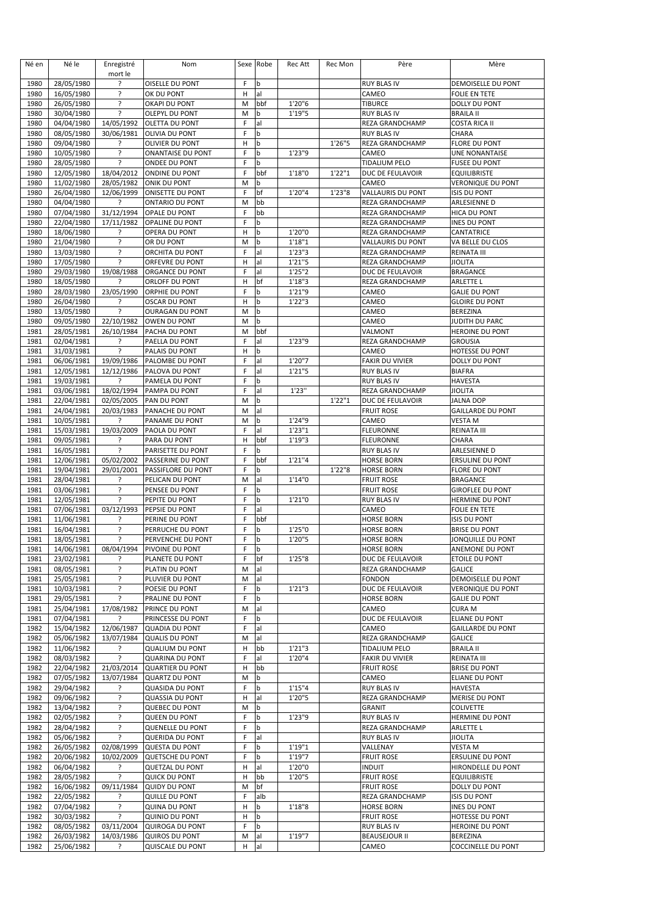| Né en        | Né le                    | Enregistré<br>mort le    | Nom                                               |        | Sexe Robe | Rec Att | Rec Mon | Père                                   | Mère                                            |
|--------------|--------------------------|--------------------------|---------------------------------------------------|--------|-----------|---------|---------|----------------------------------------|-------------------------------------------------|
| 1980         | 28/05/1980               | ?                        | <b>OISELLE DU PONT</b>                            | F      | b         |         |         | <b>RUY BLAS IV</b>                     | DEMOISELLE DU PONT                              |
| 1980         | 16/05/1980               | Ś.                       | OK DU PONT                                        | H      | al        |         |         | CAMEO                                  | <b>FOLIE EN TETE</b>                            |
| 1980         | 26/05/1980               | ?                        | <b>OKAPI DU PONT</b>                              | M      | bbf       | 1'20"6  |         | <b>TIBURCE</b>                         | DOLLY DU PONT                                   |
| 1980         | 30/04/1980               | ?                        | <b>OLEPYL DU PONT</b>                             | M      | b         | 1'19"5  |         | <b>RUY BLAS IV</b>                     | <b>BRAILA II</b>                                |
| 1980         | 04/04/1980               | 14/05/1992               | <b>OLETTA DU PONT</b>                             | F      | al        |         |         | REZA GRANDCHAMP                        | <b>COSTA RICA II</b>                            |
| 1980         | 08/05/1980               | 30/06/1981               | <b>OLIVIA DU PONT</b>                             | F      | b         |         |         | <b>RUY BLAS IV</b>                     | CHARA                                           |
| 1980         | 09/04/1980               | ŗ                        | OLIVIER DU PONT                                   | н      | b         |         | 1'26"5  | REZA GRANDCHAMP                        | <b>FLORE DU PONT</b>                            |
| 1980         | 10/05/1980               | 5.                       | <b>ONANTAISE DU PONT</b>                          | F      | b         | 1'23"9  |         | CAMEO                                  | UNE NONANTAISE                                  |
| 1980         | 28/05/1980               | S.                       | <b>ONDEE DU PONT</b>                              | F<br>F | b         |         |         | TIDALIUM PELO                          | <b>FUSEE DU PONT</b>                            |
| 1980<br>1980 | 12/05/1980<br>11/02/1980 | 18/04/2012<br>28/05/1982 | <b>ONDINE DU PONT</b>                             | M      | bbf<br>b  | 1'18"0  | 1'22''1 | DUC DE FEULAVOIR<br>CAMEO              | <b>EQUILIBRISTE</b>                             |
| 1980         | 26/04/1980               | 12/06/1999               | <b>ONIK DU PONT</b><br><b>ONISETTE DU PONT</b>    | F      | bf        | 1'20"4  | 1'23''8 | <b>VALLAURIS DU PONT</b>               | <b>VERONIQUE DU PONT</b><br><b>ISIS DU PONT</b> |
| 1980         | 04/04/1980               | ?                        | <b>ONTARIO DU PONT</b>                            | M      | bb        |         |         | REZA GRANDCHAMP                        | ARLESIENNE D                                    |
| 1980         | 07/04/1980               | 31/12/1994               | OPALE DU PONT                                     | F      | bb        |         |         | REZA GRANDCHAMP                        | HICA DU PONT                                    |
| 1980         | 22/04/1980               | 17/11/1982               | <b>OPALINE DU PONT</b>                            | F      | b         |         |         | REZA GRANDCHAMP                        | <b>INES DU PONT</b>                             |
| 1980         | 18/06/1980               | ?                        | OPERA DU PONT                                     | н      | b         | 1'20"0  |         | REZA GRANDCHAMP                        | CANTATRICE                                      |
| 1980         | 21/04/1980               | ?                        | OR DU PONT                                        | M      | b         | 1'18''1 |         | VALLAURIS DU PONT                      | VA BELLE DU CLOS                                |
| 1980         | 13/03/1980               | ?                        | ORCHITA DU PONT                                   | F      | al        | 1'23''3 |         | REZA GRANDCHAMP                        | REINATA III                                     |
| 1980         | 17/05/1980               | ?                        | ORFEVRE DU PONT                                   | н      | al        | 1'21''5 |         | REZA GRANDCHAMP                        | <b>JIOLITA</b>                                  |
| 1980         | 29/03/1980               | 19/08/1988               | ORGANCE DU PONT                                   | F      | al        | 1'25''2 |         | DUC DE FEULAVOIR                       | <b>BRAGANCE</b>                                 |
| 1980         | 18/05/1980               | ς                        | ORLOFF DU PONT                                    | н      | bf        | 1'18''3 |         | REZA GRANDCHAMP                        | ARLETTE L                                       |
| 1980         | 28/03/1980               | 23/05/1990               | <b>ORPHIE DU PONT</b>                             | F      | b         | 1'21"9  |         | CAMEO                                  | <b>GALIE DU PONT</b>                            |
| 1980         | 26/04/1980               | ŗ                        | <b>OSCAR DU PONT</b>                              | н      | b         | 1'22"3  |         | CAMEO                                  | <b>GLOIRE DU PONT</b>                           |
| 1980         | 13/05/1980               | ?<br>22/10/1982          | <b>OURAGAN DU PONT</b>                            | M      | b         |         |         | CAMEO                                  | BEREZINA                                        |
| 1980<br>1981 | 09/05/1980<br>28/05/1981 |                          | OWEN DU PONT<br>PACHA DU PONT                     | M<br>M | b<br>bbf  |         |         | CAMEO<br>VALMONT                       | JUDITH DU PARC                                  |
| 1981         | 02/04/1981               | 26/10/1984<br>ŗ          | PAELLA DU PONT                                    | F      | al        | 1'23"9  |         | REZA GRANDCHAMP                        | HEROINE DU PONT<br><b>GROUSIA</b>               |
| 1981         | 31/03/1981               | ?                        | PALAIS DU PONT                                    | H      | b         |         |         | CAMEO                                  | HOTESSE DU PONT                                 |
| 1981         | 06/06/1981               | 19/09/1986               | PALOMBE DU PONT                                   | F      | al        | 1'20"7  |         | <b>FAKIR DU VIVIER</b>                 | DOLLY DU PONT                                   |
| 1981         | 12/05/1981               | 12/12/1986               | PALOVA DU PONT                                    | F      | al        | 1'21''5 |         | <b>RUY BLAS IV</b>                     | <b>BIAFRA</b>                                   |
| 1981         | 19/03/1981               | ?                        | PAMELA DU PONT                                    | F      | b         |         |         | <b>RUY BLAS IV</b>                     | <b>HAVESTA</b>                                  |
| 1981         | 03/06/1981               | 18/02/1994               | PAMPA DU PONT                                     | F      | al        | 1'23''  |         | REZA GRANDCHAMP                        | <b>JIOLITA</b>                                  |
| 1981         | 22/04/1981               | 02/05/2005               | PAN DU PONT                                       | M      | b         |         | 1'22''1 | DUC DE FEULAVOIR                       | <b>JALNA DOP</b>                                |
| 1981         | 24/04/1981               | 20/03/1983               | PANACHE DU PONT                                   | M      | al        |         |         | <b>FRUIT ROSE</b>                      | <b>GAILLARDE DU PONT</b>                        |
| 1981         | 10/05/1981               | ŗ                        | PANAME DU PONT                                    | M      | b         | 1'24"9  |         | CAMEO                                  | VESTA M                                         |
| 1981         | 15/03/1981               | 19/03/2009               | PAOLA DU PONT                                     | F      | al        | 1'23''1 |         | <b>FLEURONNE</b>                       | REINATA III                                     |
| 1981         | 09/05/1981               | ŗ                        | PARA DU PONT                                      | H      | bbf       | 1'19"3  |         | <b>FLEURONNE</b>                       | CHARA                                           |
| 1981         | 16/05/1981               | ?                        | PARISETTE DU PONT                                 | F      | b         |         |         | <b>RUY BLAS IV</b>                     | ARLESIENNE D                                    |
| 1981<br>1981 | 12/06/1981               | 05/02/2002<br>29/01/2001 | <b>PASSERINE DU PONT</b>                          | F<br>F | bbf       | 1'21''4 | 1'22''8 | <b>HORSE BORN</b>                      | <b>ERSULINE DU PONT</b>                         |
| 1981         | 19/04/1981<br>28/04/1981 | ?                        | PASSIFLORE DU PONT<br>PELICAN DU PONT             | M      | b<br>al   | 1'14''0 |         | <b>HORSE BORN</b><br><b>FRUIT ROSE</b> | <b>FLORE DU PONT</b><br><b>BRAGANCE</b>         |
| 1981         | 03/06/1981               | ?                        | PENSEE DU PONT                                    | F      | b         |         |         | <b>FRUIT ROSE</b>                      | <b>GIROFLEE DU PONT</b>                         |
| 1981         | 12/05/1981               | ?                        | PEPITE DU PONT                                    | F      | b         | 1'21''0 |         | <b>RUY BLAS IV</b>                     | HERMINE DU PONT                                 |
| 1981         | 07/06/1981               | 03/12/1993               | PEPSIE DU PONT                                    | F      | al        |         |         | CAMEO                                  | FOLIE EN TETE                                   |
| 1981         | 11/06/1981               | ŗ                        | PERINE DU PONT                                    | F      | bbf       |         |         | <b>HORSE BORN</b>                      | <b>ISIS DU PONT</b>                             |
| 1981         | 16/04/1981               | ?                        | PERRUCHE DU PONT                                  | F      | b         | 1'25"0  |         | <b>HORSE BORN</b>                      | <b>BRISE DU PONT</b>                            |
| 1981         | 18/05/1981               | ?                        | PERVENCHE DU PONT                                 | F      | b         | 1'20"5  |         | <b>HORSE BORN</b>                      | JONQUILLE DU PONT                               |
| 1981         | 14/06/1981               |                          | 08/04/1994   PIVOINE DU PONT                      | F      | b         |         |         | <b>HORSE BORN</b>                      | ANEMONE DU PONT                                 |
| 1981         | 23/02/1981               | ?                        | PLANETE DU PONT                                   | F      | bf        | 1'25"8  |         | DUC DE FEULAVOIR                       | ETOILE DU PONT                                  |
| 1981         | 08/05/1981               | ŗ                        | PLATIN DU PONT                                    | M      | al        |         |         | REZA GRANDCHAMP                        | <b>GALICE</b>                                   |
| 1981         | 25/05/1981               | ŗ                        | PLUVIER DU PONT                                   | M      | al        |         |         | <b>FONDON</b>                          | DEMOISELLE DU PONT                              |
| 1981         | 10/03/1981               | ŗ                        | POESIE DU PONT                                    | F      | b         | 1'21''3 |         | DUC DE FEULAVOIR                       | <b>VERONIQUE DU PONT</b>                        |
| 1981<br>1981 | 29/05/1981<br>25/04/1981 | ?<br>17/08/1982          | PRALINE DU PONT<br>PRINCE DU PONT                 | F<br>M | b<br>al   |         |         | <b>HORSE BORN</b><br>CAMEO             | <b>GALIE DU PONT</b><br><b>CURA M</b>           |
| 1981         | 07/04/1981               | 5.                       | PRINCESSE DU PONT                                 | F      | b         |         |         | DUC DE FEULAVOIR                       | ELIANE DU PONT                                  |
| 1982         | 15/04/1982               | 12/06/1987               | <b>QUADIA DU PONT</b>                             | F      | al        |         |         | CAMEO                                  | <b>GAILLARDE DU PONT</b>                        |
| 1982         | 05/06/1982               | 13/07/1984               | <b>QUALIS DU PONT</b>                             | М      | al        |         |         | REZA GRANDCHAMP                        | GALICE                                          |
| 1982         | 11/06/1982               | ?                        | <b>QUALIUM DU PONT</b>                            | н      | bb        | 1'21''3 |         | <b>TIDALIUM PELO</b>                   | <b>BRAILA II</b>                                |
| 1982         | 08/03/1982               | ?                        | <b>QUARINA DU PONT</b>                            | F      | al        | 1'20"4  |         | <b>FAKIR DU VIVIER</b>                 | REINATA III                                     |
| 1982         | 22/04/1982               | 21/03/2014               | <b>QUARTIER DU PONT</b>                           | н      | bb        |         |         | <b>FRUIT ROSE</b>                      | <b>BRISE DU PONT</b>                            |
| 1982         | 07/05/1982               | 13/07/1984               | <b>QUARTZ DU PONT</b>                             | M      | b         |         |         | CAMEO                                  | ELIANE DU PONT                                  |
| 1982         | 29/04/1982               | ?                        | <b>QUASIDA DU PONT</b>                            | F      | b         | 1'15''4 |         | <b>RUY BLAS IV</b>                     | <b>HAVESTA</b>                                  |
| 1982         | 09/06/1982               | ?                        | <b>QUASSIA DU PONT</b>                            | н      | al        | 1'20"5  |         | REZA GRANDCHAMP                        | <b>MERISE DU PONT</b>                           |
| 1982         | 13/04/1982               | ?                        | <b>QUEBEC DU PONT</b>                             | М      | b         |         |         | <b>GRANIT</b>                          | <b>COLIVETTE</b>                                |
| 1982         | 02/05/1982               | ?<br>?                   | <b>QUEEN DU PONT</b>                              | F      | b         | 1'23"9  |         | <b>RUY BLAS IV</b>                     | HERMINE DU PONT                                 |
| 1982<br>1982 | 28/04/1982<br>05/06/1982 | ?                        | <b>QUENELLE DU PONT</b><br><b>QUERIDA DU PONT</b> | F<br>F | b<br>al   |         |         | REZA GRANDCHAMP<br>RUY BLAS IV         | ARLETTE L<br>JIOLITA                            |
| 1982         | 26/05/1982               | 02/08/1999               | <b>QUESTA DU PONT</b>                             | F      | b         | 1'19''1 |         | VALLENAY                               | <b>VESTA M</b>                                  |
| 1982         | 20/06/1982               | 10/02/2009               | QUETSCHE DU PONT                                  | F      | b         | 1'19"7  |         | <b>FRUIT ROSE</b>                      | <b>ERSULINE DU PONT</b>                         |
| 1982         | 06/04/1982               | ŗ                        | <b>QUETZAL DU PONT</b>                            | н      | al        | 1'20"0  |         | <b>INDUIT</b>                          | HIRONDELLE DU PONT                              |
| 1982         | 28/05/1982               | ?                        | <b>QUICK DU PONT</b>                              | н      | bb        | 1'20"5  |         | <b>FRUIT ROSE</b>                      | <b>EQUILIBRISTE</b>                             |
| 1982         | 16/06/1982               | 09/11/1984               | <b>QUIDY DU PONT</b>                              | M      | bf        |         |         | <b>FRUIT ROSE</b>                      | DOLLY DU PONT                                   |
| 1982         | 22/05/1982               | ŗ                        | <b>QUILLE DU PONT</b>                             | F      | alb       |         |         | REZA GRANDCHAMP                        | ISIS DU PONT                                    |
| 1982         | 07/04/1982               | ?                        | <b>QUINA DU PONT</b>                              | н      | b         | 1'18''8 |         | <b>HORSE BORN</b>                      | INES DU PONT                                    |
| 1982         | 30/03/1982               | ?                        | QUINIO DU PONT                                    | н      | b         |         |         | <b>FRUIT ROSE</b>                      | HOTESSE DU PONT                                 |
| 1982         | 08/05/1982               | 03/11/2004               | QUIROGA DU PONT                                   | F      | b         |         |         | <b>RUY BLAS IV</b>                     | HEROINE DU PONT                                 |
| 1982         | 26/03/1982               | 14/03/1986               | <b>QUIROS DU PONT</b>                             | М      | al        | 1'19"7  |         | <b>BEAUSEJOUR II</b>                   | BEREZINA                                        |
| 1982         | 25/06/1982               | ŗ                        | QUISCALE DU PONT                                  | н      | al        |         |         | CAMEO                                  | COCCINELLE DU PONT                              |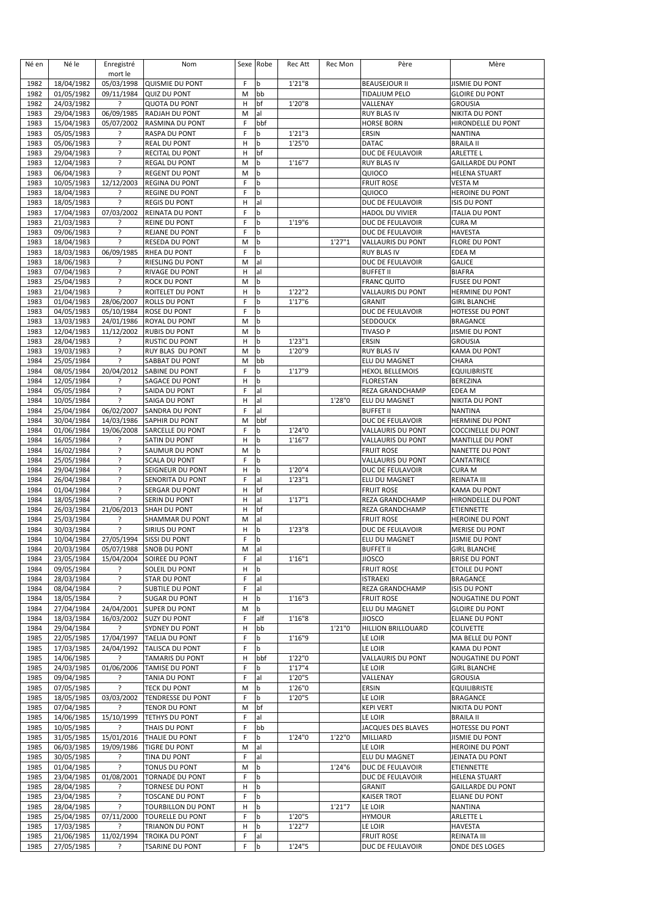| Né en        | Né le                    | Enregistré<br>mort le | Nom                                     |                  | Sexe Robe         | Rec Att           | Rec Mon | Père                                           | Mère                                      |
|--------------|--------------------------|-----------------------|-----------------------------------------|------------------|-------------------|-------------------|---------|------------------------------------------------|-------------------------------------------|
| 1982         | 18/04/1982               | 05/03/1998            | <b>QUISMIE DU PONT</b>                  | F                | b                 | 1'21"8            |         | <b>BEAUSEJOUR II</b>                           | <b>JISMIE DU PONT</b>                     |
| 1982         | 01/05/1982               | 09/11/1984            | <b>QUIZ DU PONT</b>                     | M                | bb                |                   |         | <b>TIDALIUM PELO</b>                           | <b>GLOIRE DU PONT</b>                     |
| 1982         | 24/03/1982               | ŗ                     | <b>QUOTA DU PONT</b>                    | H                | bf                | 1'20"8            |         | VALLENAY                                       | <b>GROUSIA</b>                            |
| 1983         | 29/04/1983               | 06/09/1985            | RADJAH DU PONT                          | M                | al                |                   |         | <b>RUY BLAS IV</b>                             | NIKITA DU PONT                            |
| 1983         | 15/04/1983               | 05/07/2002            | RASMINA DU PONT                         | F                | bbf               |                   |         | <b>HORSE BORN</b>                              | HIRONDELLE DU PONT                        |
| 1983         | 05/05/1983               | ŗ                     | RASPA DU PONT                           | F                | b                 | 1'21''3           |         | ERSIN                                          | <b>NANTINA</b>                            |
| 1983         | 05/06/1983               | ?                     | <b>REAL DU PONT</b>                     | H                | b                 | 1'25"0            |         | <b>DATAC</b>                                   | <b>BRAILA II</b>                          |
| 1983         | 29/04/1983               | ?                     | <b>RECITAL DU PONT</b>                  | H                | bf                |                   |         | DUC DE FEULAVOIR                               | <b>ARLETTE L</b>                          |
| 1983         | 12/04/1983               | ?<br>?                | REGAL DU PONT                           | M                | b                 | 1'16''7           |         | <b>RUY BLAS IV</b>                             | <b>GAILLARDE DU PONT</b>                  |
| 1983<br>1983 | 06/04/1983<br>10/05/1983 | 12/12/2003            | <b>REGENT DU PONT</b><br>REGINA DU PONT | M<br>F           | b<br>b            |                   |         | QUIOCO<br><b>FRUIT ROSE</b>                    | <b>HELENA STUART</b><br><b>VESTA M</b>    |
| 1983         | 18/04/1983               | ŗ                     | <b>REGINE DU PONT</b>                   | $\mathsf F$      | b                 |                   |         | QUIOCO                                         | <b>HEROINE DU PONT</b>                    |
| 1983         | 18/05/1983               | ?                     | <b>REGIS DU PONT</b>                    | H                | al                |                   |         | DUC DE FEULAVOIR                               | ISIS DU PONT                              |
| 1983         | 17/04/1983               | 07/03/2002            | REINATA DU PONT                         | F                | b                 |                   |         | HADOL DU VIVIER                                | <b>ITALIA DU PONT</b>                     |
| 1983         | 21/03/1983               | 3                     | REINE DU PONT                           | F                | b                 | 1'19"6            |         | DUC DE FEULAVOIR                               | <b>CURA M</b>                             |
| 1983         | 09/06/1983               | ?                     | REJANE DU PONT                          | F                | b                 |                   |         | DUC DE FEULAVOIR                               | <b>HAVESTA</b>                            |
| 1983         | 18/04/1983               | ?                     | <b>RESEDA DU PONT</b>                   | M                | b                 |                   | 1'27''1 | VALLAURIS DU PONT                              | FLORE DU PONT                             |
| 1983         | 18/03/1983               | 06/09/1985            | RHEA DU PONT                            | F                | b                 |                   |         | <b>RUY BLAS IV</b>                             | EDEA M                                    |
| 1983         | 18/06/1983               | ?                     | RIESLING DU PONT                        | M                | al                |                   |         | DUC DE FEULAVOIR                               | <b>GALICE</b>                             |
| 1983         | 07/04/1983               | ?                     | RIVAGE DU PONT                          | н                | al                |                   |         | <b>BUFFET II</b>                               | <b>BIAFRA</b>                             |
| 1983<br>1983 | 25/04/1983<br>21/04/1983 | ŗ<br><sup>2</sup>     | ROCK DU PONT<br>ROITELET DU PONT        | M<br>H           | b<br>b            | 1'22"2            |         | <b>FRANC QUITO</b><br><b>VALLAURIS DU PONT</b> | <b>FUSEE DU PONT</b><br>HERMINE DU PONT   |
| 1983         | 01/04/1983               | 28/06/2007            | ROLLS DU PONT                           | F                | b                 | 1'17''6           |         | <b>GRANIT</b>                                  | <b>GIRL BLANCHE</b>                       |
| 1983         | 04/05/1983               | 05/10/1984            | ROSE DU PONT                            | F                | b                 |                   |         | DUC DE FEULAVOIR                               | HOTESSE DU PONT                           |
| 1983         | 13/03/1983               | 24/01/1986            | ROYAL DU PONT                           | M                | b                 |                   |         | SEDDOUCK                                       | <b>BRAGANCE</b>                           |
| 1983         | 12/04/1983               | 11/12/2002            | <b>RUBIS DU PONT</b>                    | M                | b                 |                   |         | <b>TIVASO P</b>                                | <b>JISMIE DU PONT</b>                     |
| 1983         | 28/04/1983               | ?                     | <b>RUSTIC DU PONT</b>                   | H                | b                 | 1'23''1           |         | ERSIN                                          | <b>GROUSIA</b>                            |
| 1983         | 19/03/1983               | ?                     | RUY BLAS DU PONT                        | M                | b                 | 1'20"9            |         | <b>RUY BLAS IV</b>                             | KAMA DU PONT                              |
| 1984         | 25/05/1984               | ?                     | SABBAT DU PONT                          | M                | bb                |                   |         | ELU DU MAGNET                                  | CHARA                                     |
| 1984         | 08/05/1984               | 20/04/2012            | SABINE DU PONT                          | F                | b                 | 1'17"9            |         | <b>HEXOL BELLEMOIS</b>                         | <b>EQUILIBRISTE</b>                       |
| 1984<br>1984 | 12/05/1984<br>05/05/1984 | ?<br>?                | SAGACE DU PONT<br>SAIDA DU PONT         | H<br>$\mathsf F$ | b<br>al           |                   |         | <b>FLORESTAN</b><br>REZA GRANDCHAMP            | <b>BEREZINA</b><br>EDEA M                 |
| 1984         | 10/05/1984               | ?                     | SAIGA DU PONT                           | H                | al                |                   | 1'28"0  | ELU DU MAGNET                                  | NIKITA DU PONT                            |
| 1984         | 25/04/1984               | 06/02/2007            | SANDRA DU PONT                          | $\mathsf F$      | al                |                   |         | <b>BUFFET II</b>                               | <b>NANTINA</b>                            |
| 1984         | 30/04/1984               | 14/03/1986            | SAPHIR DU PONT                          | M                | bbf               |                   |         | DUC DE FEULAVOIR                               | HERMINE DU PONT                           |
| 1984         | 01/06/1984               | 19/06/2008            | SARCELLE DU PONT                        | F                | b                 | 1'24"0            |         | VALLAURIS DU PONT                              | <b>COCCINELLE DU PONT</b>                 |
| 1984         | 16/05/1984               | ŗ                     | SATIN DU PONT                           | H                | b                 | 1'16''7           |         | VALLAURIS DU PONT                              | MANTILLE DU PONT                          |
| 1984         | 16/02/1984               | ?                     | SAUMUR DU PONT                          | M                | b                 |                   |         | <b>FRUIT ROSE</b>                              | NANETTE DU PONT                           |
| 1984         | 25/05/1984               | ?                     | <b>SCALA DU PONT</b>                    | F                | b                 |                   |         | VALLAURIS DU PONT                              | CANTATRICE                                |
| 1984<br>1984 | 29/04/1984<br>26/04/1984 | ?<br>?                | SEIGNEUR DU PONT<br>SENORITA DU PONT    | н<br>$\mathsf F$ | b<br>al           | 1'20"4<br>1'23''1 |         | DUC DE FEULAVOIR<br>ELU DU MAGNET              | <b>CURA M</b><br><b>REINATA III</b>       |
| 1984         | 01/04/1984               | ?                     | <b>SERGAR DU PONT</b>                   | H                | bf                |                   |         | <b>FRUIT ROSE</b>                              | KAMA DU PONT                              |
| 1984         | 18/05/1984               | ?                     | SERIN DU PONT                           | H                | al                | 1'17''1           |         | <b>REZA GRANDCHAMP</b>                         | HIRONDELLE DU PONT                        |
| 1984         | 26/03/1984               | 21/06/2013            | SHAH DU PONT                            | н                | bf                |                   |         | REZA GRANDCHAMP                                | ETIENNETTE                                |
| 1984         | 25/03/1984               | ?                     | SHAMMAR DU PONT                         | M                | al                |                   |         | <b>FRUIT ROSE</b>                              | <b>HEROINE DU PONT</b>                    |
| 1984         | 30/03/1984               | ?                     | SIRIUS DU PONT                          | н                | b                 | 1'23"8            |         | DUC DE FEULAVOIR                               | <b>MERISE DU PONT</b>                     |
| 1984         | 10/04/1984               | 27/05/1994            | SISSI DU PONT                           | F                | $\mathbf b$       |                   |         | ELU DU MAGNET                                  | <b>JISMIE DU PONT</b>                     |
| 1984         | 20/03/1984               | 05/07/1988            | <b>SNOB DU PONT</b>                     | M                | lal               |                   |         | <b>BUFFET II</b>                               | <b>GIRL BLANCHE</b>                       |
| 1984<br>1984 | 23/05/1984<br>09/05/1984 | 15/04/2004<br>?       | SOIREE DU PONT<br>SOLEIL DU PONT        | F<br>н           | al<br>b           | 1'16''1           |         | <b>JIOSCO</b><br><b>FRUIT ROSE</b>             | <b>BRISE DU PONT</b><br>ETOILE DU PONT    |
| 1984         | 28/03/1984               | ŗ                     | <b>STAR DU PONT</b>                     | F                | al                |                   |         | <b>ISTRAEKI</b>                                | <b>BRAGANCE</b>                           |
| 1984         | 08/04/1984               | ?                     | SUBTILE DU PONT                         | F                | al                |                   |         | REZA GRANDCHAMP                                | <b>ISIS DU PONT</b>                       |
| 1984         | 18/05/1984               | ?                     | <b>SUGAR DU PONT</b>                    | н                | b                 | 1'16''3           |         | <b>FRUIT ROSE</b>                              | <b>NOUGATINE DU PONT</b>                  |
| 1984         | 27/04/1984               | 24/04/2001            | <b>SUPER DU PONT</b>                    | M                | b                 |                   |         | ELU DU MAGNET                                  | <b>GLOIRE DU PONT</b>                     |
| 1984         | 18/03/1984               | 16/03/2002            | <b>SUZY DU PONT</b>                     | F                | alf               | 1'16''8           |         | <b>JIOSCO</b>                                  | <b>ELIANE DU PONT</b>                     |
| 1984         | 29/04/1984               | 5.                    | SYDNEY DU PONT                          | H                | bb                |                   | 1'21''0 | HILLION BRILLOUARD                             | COLIVETTE                                 |
| 1985         | 22/05/1985               | 17/04/1997            | TAELIA DU PONT                          | F                | b                 | 1'16"9            |         | LE LOIR                                        | MA BELLE DU PONT                          |
| 1985         | 17/03/1985<br>14/06/1985 | 24/04/1992            | TALISCA DU PONT                         | F                | b<br>bbf          | 1'22"0            |         | LE LOIR<br>VALLAURIS DU PONT                   | KAMA DU PONT<br>NOUGATINE DU PONT         |
| 1985<br>1985 | 24/03/1985               | ?<br>01/06/2006       | TAMARIS DU PONT<br>TAMISE DU PONT       | н<br>F           | b                 | 1'17''4           |         | LE LOIR                                        | <b>GIRL BLANCHE</b>                       |
| 1985         | 09/04/1985               | ?                     | TANIA DU PONT                           | F                | al                | 1'20"5            |         | VALLENAY                                       | <b>GROUSIA</b>                            |
| 1985         | 07/05/1985               | ?                     | TECK DU PONT                            | M                | b                 | 1'26"0            |         | ERSIN                                          | <b>EQUILIBRISTE</b>                       |
| 1985         | 18/05/1985               | 03/03/2002            | TENDRESSE DU PONT                       | F                | b                 | 1'20"5            |         | LE LOIR                                        | <b>BRAGANCE</b>                           |
| 1985         | 07/04/1985               | ?                     | TENOR DU PONT                           | M                | bf                |                   |         | <b>KEPI VERT</b>                               | NIKITA DU PONT                            |
| 1985         | 14/06/1985               | 15/10/1999            | TETHYS DU PONT                          | F                | al                |                   |         | LE LOIR                                        | <b>BRAILA II</b>                          |
| 1985         | 10/05/1985               | ?                     | THAIS DU PONT                           | $\mathsf F$      | bb                |                   |         | JACQUES DES BLAVES                             | <b>HOTESSE DU PONT</b>                    |
| 1985         | 31/05/1985               | 15/01/2016            | THALIE DU PONT                          | F                | b                 | 1'24"0            | 1'22"0  | MILLIARD                                       | <b>JISMIE DU PONT</b>                     |
| 1985<br>1985 | 06/03/1985<br>30/05/1985 | 19/09/1986<br>ŗ       | TIGRE DU PONT<br>TINA DU PONT           | М<br>F           | al<br>al          |                   |         | LE LOIR<br>ELU DU MAGNET                       | <b>HEROINE DU PONT</b><br>JEINATA DU PONT |
| 1985         | 01/04/1985               | <sup>2</sup>          | TONUS DU PONT                           | М                | b                 |                   | 1'24''6 | DUC DE FEULAVOIR                               | <b>ETIENNETTE</b>                         |
| 1985         | 23/04/1985               | 01/08/2001            | <b>TORNADE DU PONT</b>                  | F                | b                 |                   |         | DUC DE FEULAVOIR                               | <b>HELENA STUART</b>                      |
| 1985         | 28/04/1985               | ŗ                     | TORNESE DU PONT                         | H                | b                 |                   |         | <b>GRANIT</b>                                  | <b>GAILLARDE DU PONT</b>                  |
| 1985         | 23/04/1985               | ?                     | TOSCANE DU PONT                         | F                | b                 |                   |         | <b>KAISER TROT</b>                             | ELIANE DU PONT                            |
| 1985         | 28/04/1985               | S.                    | TOURBILLON DU PONT                      | H                | b                 |                   | 1'21''7 | LE LOIR                                        | <b>NANTINA</b>                            |
| 1985         | 25/04/1985               | 07/11/2000            | <b>TOURELLE DU PONT</b>                 | F                | b                 | 1'20"5            |         | <b>HYMOUR</b>                                  | <b>ARLETTE L</b>                          |
| 1985         | 17/03/1985               | ?                     | TRIANON DU PONT                         | н                | b                 | 1'22''7           |         | LE LOIR                                        | <b>HAVESTA</b>                            |
| 1985<br>1985 | 21/06/1985<br>27/05/1985 | 11/02/1994<br>ŗ       | TROIKA DU PONT<br>TSARINE DU PONT       | F<br>F           | al<br>$\mathbf b$ | 1'24"5            |         | <b>FRUIT ROSE</b><br>DUC DE FEULAVOIR          | REINATA III<br>ONDE DES LOGES             |
|              |                          |                       |                                         |                  |                   |                   |         |                                                |                                           |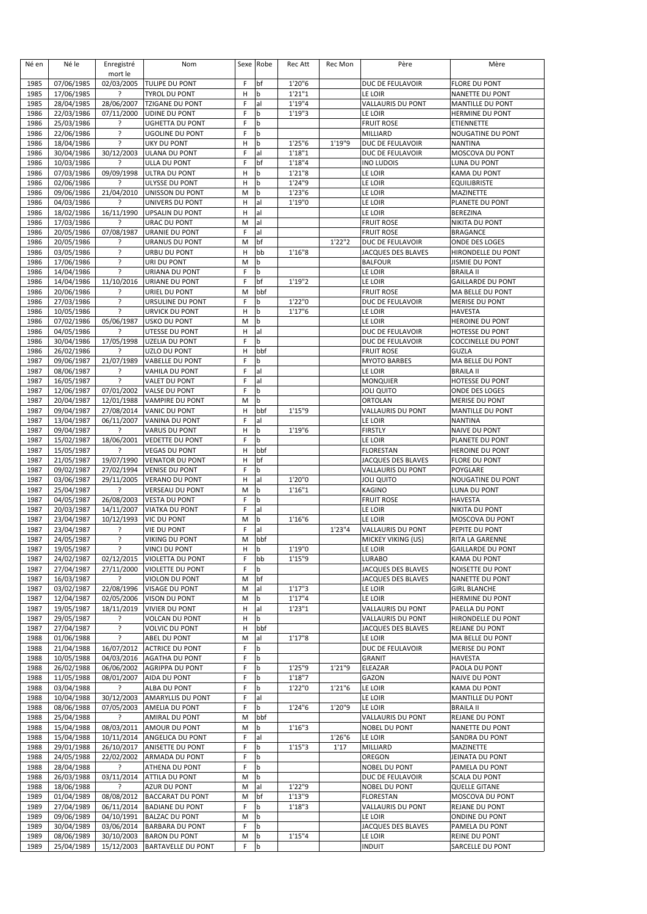| Né en        | Né le                    | Enregistré<br>mort le    | Nom                                            |             | Sexe Robe | Rec Att            | Rec Mon | Père                                   | Mère                                        |
|--------------|--------------------------|--------------------------|------------------------------------------------|-------------|-----------|--------------------|---------|----------------------------------------|---------------------------------------------|
| 1985         | 07/06/1985               | 02/03/2005               | <b>TULIPE DU PONT</b>                          | F           | bf        | 1'20"6             |         | DUC DE FEULAVOIR                       | <b>FLORE DU PONT</b>                        |
| 1985         | 17/06/1985               | ?                        | <b>TYROL DU PONT</b>                           | H           | b         | 1'21''1            |         | LE LOIR                                | <b>NANETTE DU PONT</b>                      |
| 1985         | 28/04/1985               | 28/06/2007               | TZIGANE DU PONT                                | F           | al        | 1'19"4             |         | <b>VALLAURIS DU PONT</b>               | MANTILLE DU PONT                            |
| 1986         | 22/03/1986               | 07/11/2000               | <b>UDINE DU PONT</b>                           | F           | b         | 1'19"3             |         | LE LOIR                                | <b>HERMINE DU PONT</b>                      |
| 1986         | 25/03/1986               | ?                        | UGHETTA DU PONT                                | F           | b         |                    |         | <b>FRUIT ROSE</b>                      | <b>ETIENNETTE</b>                           |
| 1986         | 22/06/1986               | ?                        | <b>UGOLINE DU PONT</b>                         | $\mathsf F$ | b         |                    |         | MILLIARD                               | NOUGATINE DU PONT                           |
| 1986         | 18/04/1986               | ŗ                        | <b>UKY DU PONT</b>                             | H           | b         | 1'25"6             | 1'19"9  | DUC DE FEULAVOIR                       | <b>NANTINA</b>                              |
| 1986         | 30/04/1986               | 30/12/2003               | ULANA DU PONT                                  | F<br>F      | al        | 1'18''1<br>1'18''4 |         | DUC DE FEULAVOIR                       | MOSCOVA DU PONT                             |
| 1986<br>1986 | 10/03/1986<br>07/03/1986 | ?<br>09/09/1998          | ULLA DU PONT<br>ULTRA DU PONT                  | H           | bf<br>b   | 1'21''8            |         | <b>INO LUDOIS</b><br>LE LOIR           | LUNA DU PONT<br><b>KAMA DU PONT</b>         |
| 1986         | 02/06/1986               | ?                        | ULYSSE DU PONT                                 | н           | b         | 1'24"9             |         | LE LOIR                                | <b>EQUILIBRISTE</b>                         |
| 1986         | 09/06/1986               | 21/04/2010               | UNISSON DU PONT                                | M           | b         | 1'23"6             |         | LE LOIR                                | MAZINETTE                                   |
| 1986         | 04/03/1986               | ?                        | UNIVERS DU PONT                                | н           | al        | 1'19"0             |         | LE LOIR                                | PLANETE DU PONT                             |
| 1986         | 18/02/1986               | 16/11/1990               | <b>UPSALIN DU PONT</b>                         | H           | al        |                    |         | LE LOIR                                | <b>BEREZINA</b>                             |
| 1986         | 17/03/1986               | ?                        | URAC DU PONT                                   | M           | al        |                    |         | <b>FRUIT ROSE</b>                      | NIKITA DU PONT                              |
| 1986         | 20/05/1986               | 07/08/1987               | URANIE DU PONT                                 | F           | al        |                    |         | <b>FRUIT ROSE</b>                      | <b>BRAGANCE</b>                             |
| 1986         | 20/05/1986<br>03/05/1986 | ŗ<br>S.                  | URANUS DU PONT                                 | M<br>H      | bf<br>bb  | 1'16''8            | 1'22''2 | DUC DE FEULAVOIR                       | ONDE DES LOGES                              |
| 1986<br>1986 | 17/06/1986               | ?                        | URBU DU PONT<br>URI DU PONT                    | M           | b         |                    |         | JACQUES DES BLAVES<br><b>BALFOUR</b>   | HIRONDELLE DU PONT<br><b>JISMIE DU PONT</b> |
| 1986         | 14/04/1986               | ?                        | <b>URIANA DU PONT</b>                          | F           | b         |                    |         | LE LOIR                                | <b>BRAILA II</b>                            |
| 1986         | 14/04/1986               | 11/10/2016               | URIANE DU PONT                                 | F           | bf        | 1'19"2             |         | LE LOIR                                | <b>GAILLARDE DU PONT</b>                    |
| 1986         | 20/06/1986               | ?                        | URIEL DU PONT                                  | M           | bbf       |                    |         | <b>FRUIT ROSE</b>                      | MA BELLE DU PONT                            |
| 1986         | 27/03/1986               | ?                        | URSULINE DU PONT                               | F           | b         | 1'22"0             |         | DUC DE FEULAVOIR                       | <b>MERISE DU PONT</b>                       |
| 1986         | 10/05/1986               | ?                        | <b>URVICK DU PONT</b>                          | H           | b         | 1'17''6            |         | LE LOIR                                | <b>HAVESTA</b>                              |
| 1986         | 07/02/1986               | 05/06/1987               | <b>USKO DU PONT</b>                            | M           | b         |                    |         | LE LOIR                                | <b>HEROINE DU PONT</b>                      |
| 1986         | 04/05/1986               | ŗ                        | UTESSE DU PONT                                 | H<br>F      | al        |                    |         | DUC DE FEULAVOIR                       | <b>HOTESSE DU PONT</b>                      |
| 1986<br>1986 | 30/04/1986<br>26/02/1986 | 17/05/1998<br>5.         | <b>UZELIA DU PONT</b><br>UZLO DU PONT          | H           | b<br>bbf  |                    |         | DUC DE FEULAVOIR<br><b>FRUIT ROSE</b>  | <b>COCCINELLE DU PONT</b><br><b>GUZLA</b>   |
| 1987         | 09/06/1987               | 21/07/1989               | VABELLE DU PONT                                | F           | b         |                    |         | <b>MYOTO BARBES</b>                    | MA BELLE DU PONT                            |
| 1987         | 08/06/1987               | ŗ                        | VAHILA DU PONT                                 | $\mathsf F$ | al        |                    |         | LE LOIR                                | <b>BRAILA II</b>                            |
| 1987         | 16/05/1987               | ?                        | VALET DU PONT                                  | $\mathsf F$ | al        |                    |         | <b>MONQUIER</b>                        | HOTESSE DU PONT                             |
| 1987         | 12/06/1987               | 07/01/2002               | VALSE DU PONT                                  | F           | b         |                    |         | JOLI QUITO                             | ONDE DES LOGES                              |
| 1987         | 20/04/1987               | 12/01/1988               | VAMPIRE DU PONT                                | M           | b         |                    |         | <b>ORTOLAN</b>                         | <b>MERISE DU PONT</b>                       |
| 1987         | 09/04/1987               | 27/08/2014               | VANIC DU PONT                                  | н           | bbf       | 1'15"9             |         | <b>VALLAURIS DU PONT</b>               | MANTILLE DU PONT                            |
| 1987         | 13/04/1987               | 06/11/2007               | VANINA DU PONT                                 | F           | al        |                    |         | LE LOIR                                | <b>NANTINA</b>                              |
| 1987<br>1987 | 09/04/1987<br>15/02/1987 | ?<br>18/06/2001          | <b>VARUS DU PONT</b><br><b>VEDETTE DU PONT</b> | н<br>F      | b<br>b    | 1'19"6             |         | <b>FIRSTLY</b><br>LE LOIR              | <b>NAIVE DU PONT</b><br>PLANETE DU PONT     |
| 1987         | 15/05/1987               | ?                        | <b>VEGAS DU PONT</b>                           | H           | bbf       |                    |         | <b>FLORESTAN</b>                       | <b>HEROINE DU PONT</b>                      |
| 1987         | 21/05/1987               | 19/07/1990               | <b>VENATOR DU PONT</b>                         | H           | bf        |                    |         | JACQUES DES BLAVES                     | <b>FLORE DU PONT</b>                        |
| 1987         | 09/02/1987               | 27/02/1994               | <b>VENISE DU PONT</b>                          | F           | b         |                    |         | VALLAURIS DU PONT                      | POYGLARE                                    |
| 1987         | 03/06/1987               | 29/11/2005               | <b>VERANO DU PONT</b>                          | H           | al        | 1'20"0             |         | JOLI QUITO                             | NOUGATINE DU PONT                           |
| 1987         | 25/04/1987               | S.                       | <b>VERSEAU DU PONT</b>                         | M           | b         | 1'16''1            |         | <b>KAGINO</b>                          | LUNA DU PONT                                |
| 1987         | 04/05/1987               | 26/08/2003               | <b>VESTA DU PONT</b>                           | F           | b         |                    |         | <b>FRUIT ROSE</b>                      | <b>HAVESTA</b>                              |
| 1987         | 20/03/1987               | 14/11/2007               | <b>VIATKA DU PONT</b>                          | F           | al        |                    |         | LE LOIR                                | NIKITA DU PONT                              |
| 1987<br>1987 | 23/04/1987<br>23/04/1987 | 10/12/1993<br>ŗ          | VIC DU PONT<br><b>VIE DU PONT</b>              | M<br>F      | b<br>al   | 1'16''6            | 1'23''4 | LE LOIR<br>VALLAURIS DU PONT           | MOSCOVA DU PONT<br>PEPITE DU PONT           |
| 1987         | 24/05/1987               | ?                        | <b>VIKING DU PONT</b>                          | M           | bbf       |                    |         | <b>MICKEY VIKING (US)</b>              | RITA LA GARENNE                             |
| 1987         | 19/05/1987               | ŗ                        | VINCI DU PONT                                  | H           | Ib        | 1'19"0             |         | LE LOIR                                | <b>GAILLARDE DU PONT</b>                    |
| 1987         | 24/02/1987               | 02/12/2015               | VIOLETTA DU PONT                               | F           | bb        | 1'15"9             |         | <b>LURABO</b>                          | KAMA DU PONT                                |
| 1987         | 27/04/1987               | 27/11/2000               | <b>VIOLETTE DU PONT</b>                        | F           | b         |                    |         | JACQUES DES BLAVES                     | <b>NOISETTE DU PONT</b>                     |
| 1987         | 16/03/1987               | 5.                       | VIOLON DU PONT                                 | M           | bf        |                    |         | JACQUES DES BLAVES                     | NANETTE DU PONT                             |
| 1987         | 03/02/1987               | 22/08/1996               | VISAGE DU PONT                                 | M           | al        | 1'17''3            |         | LE LOIR                                | <b>GIRL BLANCHE</b>                         |
| 1987         | 12/04/1987               | 02/05/2006               | VISON DU PONT                                  | M           | b         | 1'17''4            |         | LE LOIR                                | HERMINE DU PONT                             |
| 1987<br>1987 | 19/05/1987<br>29/05/1987 | 18/11/2019<br>7          | VIVIER DU PONT<br><b>VOLCAN DU PONT</b>        | н<br>н      | al<br>b   | 1'23''1            |         | VALLAURIS DU PONT<br>VALLAURIS DU PONT | PAELLA DU PONT<br>HIRONDELLE DU PONT        |
| 1987         | 27/04/1987               | ?                        | VOLVIC DU PONT                                 | н           | bbf       |                    |         | JACQUES DES BLAVES                     | REJANE DU PONT                              |
| 1988         | 01/06/1988               | ?                        | ABEL DU PONT                                   | M           | al        | 1'17''8            |         | LE LOIR                                | MA BELLE DU PONT                            |
| 1988         | 21/04/1988               | 16/07/2012               | <b>ACTRICE DU PONT</b>                         | F           | b         |                    |         | DUC DE FEULAVOIR                       | <b>MERISE DU PONT</b>                       |
| 1988         | 10/05/1988               | 04/03/2016               | <b>AGATHA DU PONT</b>                          | F           | b         |                    |         | <b>GRANIT</b>                          | <b>HAVESTA</b>                              |
| 1988         | 26/02/1988               | 06/06/2002               | <b>AGRIPPA DU PONT</b>                         | F           | b         | 1'25"9             | 1'21"9  | ELEAZAR                                | PAOLA DU PONT                               |
| 1988         | 11/05/1988               | 08/01/2007               | AIDA DU PONT                                   | F           | b         | 1'18"7             |         | GAZON                                  | NAIVE DU PONT                               |
| 1988         | 03/04/1988               | ?                        | ALBA DU PONT                                   | F<br>F      | b<br>al   | 1'22"0             | 1'21''6 | LE LOIR                                | KAMA DU PONT                                |
| 1988<br>1988 | 10/04/1988<br>08/06/1988 | 30/12/2003<br>07/05/2003 | AMARYLLIS DU PONT<br>AMELIA DU PONT            | F           | b         | 1'24"6             | 1'20"9  | LE LOIR<br>LE LOIR                     | MANTILLE DU PONT<br><b>BRAILA II</b>        |
| 1988         | 25/04/1988               | ŗ                        | AMIRAL DU PONT                                 | M           | bbf       |                    |         | VALLAURIS DU PONT                      | REJANE DU PONT                              |
| 1988         | 15/04/1988               | 08/03/2011               | AMOUR DU PONT                                  | М           | b         | 1'16''3            |         | NOBEL DU PONT                          | NANETTE DU PONT                             |
| 1988         | 15/04/1988               | 10/11/2014               | ANGELICA DU PONT                               | F           | al        |                    | 1'26"6  | LE LOIR                                | SANDRA DU PONT                              |
| 1988         | 29/01/1988               | 26/10/2017               | ANISETTE DU PONT                               | F           | b         | 1'15''3            | 1'17    | MILLIARD                               | MAZINETTE                                   |
| 1988         | 24/05/1988               | 22/02/2002               | ARMADA DU PONT                                 | F           | b         |                    |         | OREGON                                 | JEINATA DU PONT                             |
| 1988         | 28/04/1988               | ?                        | ATHENA DU PONT                                 | F           | b         |                    |         | NOBEL DU PONT                          | PAMELA DU PONT                              |
| 1988         | 26/03/1988               | 03/11/2014               | ATTILA DU PONT                                 | M           | b         |                    |         | DUC DE FEULAVOIR                       | <b>SCALA DU PONT</b>                        |
| 1988<br>1989 | 18/06/1988<br>01/04/1989 | ?<br>08/08/2012          | AZUR DU PONT<br><b>BACCARAT DU PONT</b>        | М<br>M      | al<br>bf  | 1'22"9<br>1'13"9   |         | NOBEL DU PONT<br><b>FLORESTAN</b>      | <b>QUELLE GITANE</b><br>MOSCOVA DU PONT     |
| 1989         | 27/04/1989               | 06/11/2014               | <b>BADIANE DU PONT</b>                         | F           | b         | 1'18''3            |         | <b>VALLAURIS DU PONT</b>               | <b>REJANE DU PONT</b>                       |
| 1989         | 09/06/1989               | 04/10/1991               | <b>BALZAC DU PONT</b>                          | M           | b         |                    |         | LE LOIR                                | ONDINE DU PONT                              |
| 1989         | 30/04/1989               | 03/06/2014               | <b>BARBARA DU PONT</b>                         | F           | b         |                    |         | JACQUES DES BLAVES                     | PAMELA DU PONT                              |
| 1989         | 08/06/1989               | 30/10/2003               | <b>BARON DU PONT</b>                           | М           | b         | 1'15''4            |         | LE LOIR                                | REINE DU PONT                               |
| 1989         | 25/04/1989               | 15/12/2003               | <b>BARTAVELLE DU PONT</b>                      | F           | b         |                    |         | <b>INDUIT</b>                          | SARCELLE DU PONT                            |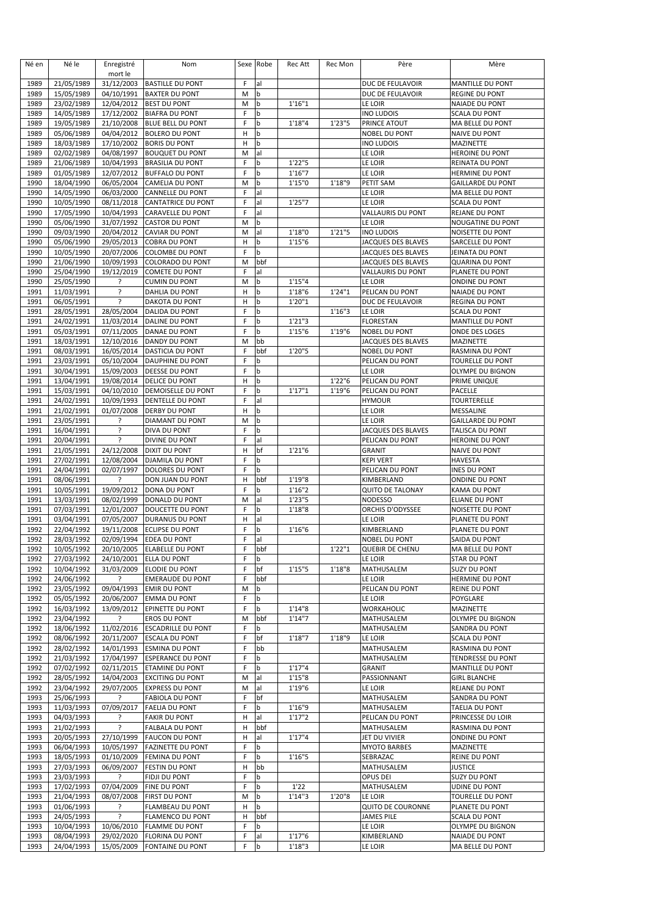| Né en        | Né le                    | Enregistré<br>mort le    | Nom                                               |             | Sexe Robe | Rec Att           | Rec Mon | Père                                      | Mère                                      |
|--------------|--------------------------|--------------------------|---------------------------------------------------|-------------|-----------|-------------------|---------|-------------------------------------------|-------------------------------------------|
| 1989         | 21/05/1989               | 31/12/2003               | <b>BASTILLE DU PONT</b>                           | F           | al        |                   |         | DUC DE FEULAVOIR                          | <b>MANTILLE DU PONT</b>                   |
| 1989         | 15/05/1989               | 04/10/1991               | <b>BAXTER DU PONT</b>                             | M           | b         |                   |         | DUC DE FEULAVOIR                          | <b>REGINE DU PONT</b>                     |
| 1989         | 23/02/1989               | 12/04/2012               | <b>BEST DU PONT</b>                               | M           | b         | 1'16''1           |         | LE LOIR                                   | <b>NAIADE DU PONT</b>                     |
| 1989         | 14/05/1989               | 17/12/2002               | <b>BIAFRA DU PONT</b>                             | F           | b         |                   |         | <b>INO LUDOIS</b>                         | <b>SCALA DU PONT</b>                      |
| 1989         | 19/05/1989               | 21/10/2008               | <b>BLUE BELL DU PONT</b>                          | F           | b         | 1'18''4           | 1'23"5  | PRINCE ATOUT                              | MA BELLE DU PONT                          |
| 1989         | 05/06/1989               | 04/04/2012               | <b>BOLERO DU PONT</b>                             | н           | b         |                   |         | NOBEL DU PONT                             | <b>NAIVE DU PONT</b>                      |
| 1989         | 18/03/1989               | 17/10/2002               | <b>BORIS DU PONT</b>                              | н<br>M      | b<br>al   |                   |         | <b>INO LUDOIS</b>                         | MAZINETTE                                 |
| 1989<br>1989 | 02/02/1989<br>21/06/1989 | 04/08/1997<br>10/04/1993 | <b>BOUQUET DU PONT</b><br><b>BRASILIA DU PONT</b> | F           | b         | 1'22"5            |         | LE LOIR<br>LE LOIR                        | <b>HEROINE DU PONT</b><br>REINATA DU PONT |
| 1989         | 01/05/1989               | 12/07/2012               | <b>BUFFALO DU PONT</b>                            | F           | b         | 1'16''7           |         | LE LOIR                                   | <b>HERMINE DU PONT</b>                    |
| 1990         | 18/04/1990               | 06/05/2004               | <b>CAMELIA DU PONT</b>                            | Μ           | b         | 1'15"0            | 1'18"9  | PETIT SAM                                 | <b>GAILLARDE DU PONT</b>                  |
| 1990         | 14/05/1990               | 06/03/2000               | <b>CANNELLE DU PONT</b>                           | F           | al        |                   |         | LE LOIR                                   | MA BELLE DU PONT                          |
| 1990         | 10/05/1990               | 08/11/2018               | CANTATRICE DU PONT                                | F           | al        | 1'25"7            |         | <b>LE LOIR</b>                            | <b>SCALA DU PONT</b>                      |
| 1990         | 17/05/1990               | 10/04/1993               | <b>CARAVELLE DU PONT</b>                          | F           | al        |                   |         | VALLAURIS DU PONT                         | <b>REJANE DU PONT</b>                     |
| 1990         | 05/06/1990               | 31/07/1992               | <b>CASTOR DU PONT</b>                             | M           | b         |                   |         | LE LOIR                                   | NOUGATINE DU PONT                         |
| 1990         | 09/03/1990               | 20/04/2012               | <b>CAVIAR DU PONT</b>                             | М           | al        | 1'18"0            | 1'21''5 | <b>INO LUDOIS</b>                         | NOISETTE DU PONT                          |
| 1990         | 05/06/1990               | 29/05/2013               | <b>COBRA DU PONT</b>                              | н           | b         | 1'15''6           |         | JACQUES DES BLAVES                        | SARCELLE DU PONT                          |
| 1990         | 10/05/1990               | 20/07/2006               | <b>COLOMBE DU PONT</b>                            | F           | b         |                   |         | JACQUES DES BLAVES                        | JEINATA DU PONT                           |
| 1990<br>1990 | 21/06/1990<br>25/04/1990 | 10/09/1993<br>19/12/2019 | COLORADO DU PONT<br><b>COMETE DU PONT</b>         | M<br>F      | bbf<br>al |                   |         | JACQUES DES BLAVES<br>VALLAURIS DU PONT   | <b>QUARINA DU PONT</b><br>PLANETE DU PONT |
| 1990         | 25/05/1990               | ?                        | <b>CUMIN DU PONT</b>                              | M           | b         | 1'15''4           |         | LE LOIR                                   | ONDINE DU PONT                            |
| 1991         | 11/03/1991               | ?                        | DAHLIA DU PONT                                    | н           | b         | 1'18"6            | 1'24''1 | PELICAN DU PONT                           | <b>NAIADE DU PONT</b>                     |
| 1991         | 06/05/1991               | ?                        | DAKOTA DU PONT                                    | н           | b         | 1'20"1            |         | DUC DE FEULAVOIR                          | <b>REGINA DU PONT</b>                     |
| 1991         | 28/05/1991               | 28/05/2004               | DALIDA DU PONT                                    | F           | b         |                   | 1'16''3 | LE LOIR                                   | <b>SCALA DU PONT</b>                      |
| 1991         | 24/02/1991               | 11/03/2014               | DALINE DU PONT                                    | F           | b         | 1'21''3           |         | <b>FLORESTAN</b>                          | <b>MANTILLE DU PONT</b>                   |
| 1991         | 05/03/1991               | 07/11/2005               | DANAE DU PONT                                     | F           | b         | 1'15''6           | 1'19"6  | NOBEL DU PONT                             | ONDE DES LOGES                            |
| 1991         | 18/03/1991               | 12/10/2016               | DANDY DU PONT                                     | M           | bb        |                   |         | <b>JACQUES DES BLAVES</b>                 | <b>MAZINETTE</b>                          |
| 1991         | 08/03/1991               | 16/05/2014               | DASTICIA DU PONT                                  | F           | bbf       | 1'20"5            |         | NOBEL DU PONT                             | RASMINA DU PONT                           |
| 1991         | 23/03/1991               | 05/10/2004               | <b>DAUPHINE DU PONT</b>                           | F           | b         |                   |         | PELICAN DU PONT                           | <b>TOURELLE DU PONT</b>                   |
| 1991<br>1991 | 30/04/1991<br>13/04/1991 | 15/09/2003<br>19/08/2014 | DEESSE DU PONT<br>DELICE DU PONT                  | F<br>н      | b<br>b    |                   | 1'22''6 | LE LOIR<br>PELICAN DU PONT                | OLYMPE DU BIGNON<br>PRIME UNIQUE          |
| 1991         | 15/03/1991               | 04/10/2010               | DEMOISELLE DU PONT                                | F           | b         | 1'17''1           | 1'19"6  | PELICAN DU PONT                           | PACELLE                                   |
| 1991         | 24/02/1991               | 10/09/1993               | DENTELLE DU PONT                                  | F           | al        |                   |         | <b>HYMOUR</b>                             | <b>TOURTERELLE</b>                        |
| 1991         | 21/02/1991               | 01/07/2008               | <b>DERBY DU PONT</b>                              | н           | b         |                   |         | LE LOIR                                   | MESSALINE                                 |
| 1991         | 23/05/1991               | ŗ                        | DIAMANT DU PONT                                   | M           | b         |                   |         | LE LOIR                                   | <b>GAILLARDE DU PONT</b>                  |
| 1991         | 16/04/1991               | ?                        | DIVA DU PONT                                      | F           | b         |                   |         | <b>JACQUES DES BLAVES</b>                 | TALISCA DU PONT                           |
| 1991         | 20/04/1991               | ?                        | DIVINE DU PONT                                    | F           | al        |                   |         | PELICAN DU PONT                           | <b>HEROINE DU PONT</b>                    |
| 1991         | 21/05/1991               | 24/12/2008               | <b>DIXIT DU PONT</b>                              | н           | bf        | 1'21"6            |         | <b>GRANIT</b>                             | NAIVE DU PONT                             |
| 1991         | 27/02/1991               | 12/08/2004               | DJAMILA DU PONT                                   | F           | b         |                   |         | <b>KEPI VERT</b>                          | <b>HAVESTA</b>                            |
| 1991         | 24/04/1991               | 02/07/1997               | <b>DOLORES DU PONT</b>                            | F           | b         |                   |         | PELICAN DU PONT                           | <b>INES DU PONT</b>                       |
| 1991         | 08/06/1991<br>10/05/1991 | ?                        | DON JUAN DU PONT<br><b>DONA DU PONT</b>           | н<br>F      | bbf<br>b  | 1'19"8<br>1'16''2 |         | KIMBERLAND                                | ONDINE DU PONT                            |
| 1991<br>1991 | 13/03/1991               | 19/09/2012<br>08/02/1999 | DONALD DU PONT                                    | M           | al        | 1'23"5            |         | <b>QUITO DE TALONAY</b><br><b>NODESSO</b> | KAMA DU PONT<br>ELIANE DU PONT            |
| 1991         | 07/03/1991               | 12/01/2007               | DOUCETTE DU PONT                                  | F           | b         | 1'18''8           |         | ORCHIS D'ODYSSEE                          | NOISETTE DU PONT                          |
| 1991         | 03/04/1991               | 07/05/2007               | <b>DURANUS DU PONT</b>                            | н           | al        |                   |         | LE LOIR                                   | PLANETE DU PONT                           |
| 1992         | 22/04/1992               | 19/11/2008               | <b>ECLIPSE DU PONT</b>                            | F           | b         | 1'16"6            |         | KIMBERLAND                                | PLANETE DU PONT                           |
| 1992         | 28/03/1992               | 02/09/1994               | <b>EDEA DU PONT</b>                               | F           | al        |                   |         | NOBEL DU PONT                             | SAIDA DU PONT                             |
| 1992         | 10/05/1992               | 20/10/2005               | <b>ELABELLE DU PONT</b>                           | F           | bbf       |                   | 1'22''1 | <b>QUEBIR DE CHENU</b>                    | MA BELLE DU PONT                          |
| 1992         | 27/03/1992               | 24/10/2001               | <b>ELLA DU PONT</b>                               | F           | b         |                   |         | LE LOIR                                   | <b>STAR DU PONT</b>                       |
| 1992         | 10/04/1992               | 31/03/2009               | ELODIE DU PONT                                    | F           | bf        | 1'15"5            | 1'18''8 | MATHUSALEM                                | <b>SUZY DU PONT</b>                       |
| 1992         | 24/06/1992               | ŗ                        | <b>EMERAUDE DU PONT</b>                           | F           | bbf       |                   |         | LE LOIR                                   | HERMINE DU PONT                           |
| 1992         | 23/05/1992               | 09/04/1993               | <b>EMIR DU PONT</b>                               | M           | b         |                   |         | PELICAN DU PONT                           | REINE DU PONT<br>POYGLARE                 |
| 1992<br>1992 | 05/05/1992<br>16/03/1992 | 20/06/2007<br>13/09/2012 | <b>EMMA DU PONT</b><br>EPINETTE DU PONT           | F<br>F      | b<br>b    | 1'14''8           |         | LE LOIR<br><b>WORKAHOLIC</b>              | <b>MAZINETTE</b>                          |
| 1992         | 23/04/1992               | ŗ                        | EROS DU PONT                                      | M           | bbf       | 1'14''7           |         | MATHUSALEM                                | OLYMPE DU BIGNON                          |
| 1992         | 18/06/1992               | 11/02/2016               | <b>ESCADRILLE DU PONT</b>                         | F           | b         |                   |         | MATHUSALEM                                | SANDRA DU PONT                            |
| 1992         | 08/06/1992               | 20/11/2007               | <b>ESCALA DU PONT</b>                             | F           | bf        | 1'18"7            | 1'18"9  | LE LOIR                                   | <b>SCALA DU PONT</b>                      |
| 1992         | 28/02/1992               | 14/01/1993               | <b>ESMINA DU PONT</b>                             | F           | bb        |                   |         | MATHUSALEM                                | RASMINA DU PONT                           |
| 1992         | 21/03/1992               | 17/04/1997               | <b>ESPERANCE DU PONT</b>                          | F           | b         |                   |         | MATHUSALEM                                | <b>TENDRESSE DU PONT</b>                  |
| 1992         | 07/02/1992               | 02/11/2015               | <b>ETAMINE DU PONT</b>                            | F           | b         | 1'17''4           |         | <b>GRANIT</b>                             | <b>MANTILLE DU PONT</b>                   |
| 1992         | 28/05/1992               | 14/04/2003               | <b>EXCITING DU PONT</b>                           | М           | al        | 1'15''8           |         | PASSIONNANT                               | <b>GIRL BLANCHE</b>                       |
| 1992         | 23/04/1992               | 29/07/2005               | <b>EXPRESS DU PONT</b>                            | М           | al        | 1'19"6            |         | LE LOIR                                   | REJANE DU PONT                            |
| 1993         | 25/06/1993               | ?                        | FABIOLA DU PONT                                   | F           | bf        |                   |         | MATHUSALEM                                | SANDRA DU PONT                            |
| 1993         | 11/03/1993               | 07/09/2017               | <b>FAELIA DU PONT</b>                             | F           | b         | 1'16"9            |         | MATHUSALEM                                | <b>TAELIA DU PONT</b>                     |
| 1993         | 04/03/1993               | ?<br>?                   | <b>FAKIR DU PONT</b>                              | н           | al<br>bbf | 1'17''2           |         | PELICAN DU PONT                           | PRINCESSE DU LOIR                         |
| 1993<br>1993 | 21/02/1993<br>20/05/1993 | 27/10/1999               | FALBALA DU PONT<br><b>FAUCON DU PONT</b>          | н<br>н      | al        | 1'17''4           |         | MATHUSALEM<br>JET DU VIVIER               | RASMINA DU PONT<br>ONDINE DU PONT         |
| 1993         | 06/04/1993               | 10/05/1997               | <b>FAZINETTE DU PONT</b>                          | $\mathsf F$ | b         |                   |         | <b>MYOTO BARBES</b>                       | MAZINETTE                                 |
| 1993         | 18/05/1993               | 01/10/2009               | FEMINA DU PONT                                    | F           | b         | 1'16"5            |         | SEBRAZAC                                  | <b>REINE DU PONT</b>                      |
| 1993         | 27/03/1993               | 06/09/2007               | FESTIN DU PONT                                    | н           | bb        |                   |         | MATHUSALEM                                | <b>JUSTICE</b>                            |
| 1993         | 23/03/1993               | ?                        | FIDJI DU PONT                                     | F           | b         |                   |         | OPUS DEI                                  | <b>SUZY DU PONT</b>                       |
| 1993         | 17/02/1993               | 07/04/2009               | FINE DU PONT                                      | F           | b         | 1'22              |         | MATHUSALEM                                | <b>UDINE DU PONT</b>                      |
| 1993         | 21/04/1993               | 08/07/2008               | FIRST DU PONT                                     | M           | b         | 1'14''3           | 1'20"8  | LE LOIR                                   | TOURELLE DU PONT                          |
| 1993         | 01/06/1993               | ŗ                        | FLAMBEAU DU PONT                                  | н           | b         |                   |         | <b>QUITO DE COURONNE</b>                  | PLANETE DU PONT                           |
| 1993         | 24/05/1993               | ?                        | <b>FLAMENCO DU PONT</b>                           | н           | bbf       |                   |         | <b>JAMES PILE</b>                         | <b>SCALA DU PONT</b>                      |
| 1993         | 10/04/1993               | 10/06/2010               | <b>FLAMME DU PONT</b>                             | F           | b         |                   |         | LE LOIR                                   | OLYMPE DU BIGNON                          |
| 1993         | 08/04/1993               | 29/02/2020               | <b>FLORINA DU PONT</b>                            | F           | al        | 1'17''6           |         | KIMBERLAND                                | <b>NAIADE DU PONT</b>                     |
| 1993         | 24/04/1993               | 15/05/2009               | FONTAINE DU PONT                                  | F           | b         | 1'18''3           |         | LE LOIR                                   | MA BELLE DU PONT                          |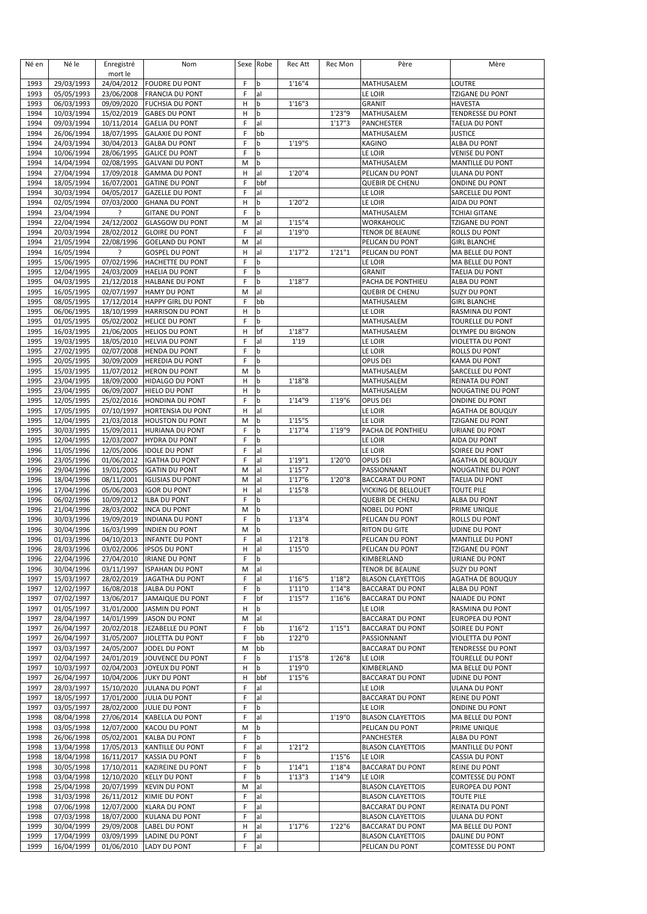| Né en        | Né le                    | Enregistré<br>mort le    | Nom                                               |             | Sexe Robe | Rec Att | Rec Mon            | Père                                        | Mère                                       |
|--------------|--------------------------|--------------------------|---------------------------------------------------|-------------|-----------|---------|--------------------|---------------------------------------------|--------------------------------------------|
| 1993         | 29/03/1993               | 24/04/2012               | <b>FOUDRE DU PONT</b>                             | F           | b         | 1'16''4 |                    | MATHUSALEM                                  | LOUTRE                                     |
| 1993         | 05/05/1993               | 23/06/2008               | <b>FRANCIA DU PONT</b>                            | F           | al        |         |                    | LE LOIR                                     | TZIGANE DU PONT                            |
| 1993         | 06/03/1993               | 09/09/2020               | <b>FUCHSIA DU PONT</b>                            | H           | b         | 1'16''3 |                    | <b>GRANIT</b>                               | <b>HAVESTA</b>                             |
| 1994         | 10/03/1994               | 15/02/2019               | <b>GABES DU PONT</b>                              | н           | b         |         | 1'23"9             | MATHUSALEM                                  | TENDRESSE DU PONT                          |
| 1994<br>1994 | 09/03/1994               | 10/11/2014               | <b>GAELIA DU PONT</b>                             | F<br>F      | al<br>bb  |         | 1'17''3            | PANCHESTER<br>MATHUSALEM                    | <b>TAELIA DU PONT</b><br><b>JUSTICE</b>    |
| 1994         | 26/06/1994<br>24/03/1994 | 18/07/1995<br>30/04/2013 | <b>GALAXIE DU PONT</b><br><b>GALBA DU PONT</b>    | F           | b         | 1'19"5  |                    | <b>KAGINO</b>                               | ALBA DU PONT                               |
| 1994         | 10/06/1994               | 28/06/1995               | <b>GALICE DU PONT</b>                             | F           | b         |         |                    | LE LOIR                                     | <b>VENISE DU PONT</b>                      |
| 1994         | 14/04/1994               | 02/08/1995               | <b>GALVANI DU PONT</b>                            | М           | b         |         |                    | MATHUSALEM                                  | MANTILLE DU PONT                           |
| 1994         | 27/04/1994               | 17/09/2018               | <b>GAMMA DU PONT</b>                              | н           | al        | 1'20"4  |                    | PELICAN DU PONT                             | ULANA DU PONT                              |
| 1994         | 18/05/1994               | 16/07/2001               | <b>GATINE DU PONT</b>                             | F           | bbf       |         |                    | <b>QUEBIR DE CHENU</b>                      | ONDINE DU PONT                             |
| 1994         | 30/03/1994               | 04/05/2017               | <b>GAZELLE DU PONT</b>                            | F           | al        |         |                    | LE LOIR                                     | <b>SARCELLE DU PONT</b>                    |
| 1994         | 02/05/1994               | 07/03/2000               | <b>GHANA DU PONT</b>                              | н           | b         | 1'20"2  |                    | LE LOIR                                     | AIDA DU PONT                               |
| 1994<br>1994 | 23/04/1994<br>22/04/1994 | ?<br>24/12/2002          | <b>GITANE DU PONT</b><br><b>GLASGOW DU PONT</b>   | F<br>M      | b<br>al   | 1'15''4 |                    | MATHUSALEM<br>WORKAHOLIC                    | <b>TCHIAI GITANE</b><br>TZIGANE DU PONT    |
| 1994         | 20/03/1994               | 28/02/2012               | <b>GLOIRE DU PONT</b>                             | F           | al        | 1'19"0  |                    | TENOR DE BEAUNE                             | ROLLS DU PONT                              |
| 1994         | 21/05/1994               | 22/08/1996               | <b>GOELAND DU PONT</b>                            | M           | al        |         |                    | PELICAN DU PONT                             | <b>GIRL BLANCHE</b>                        |
| 1994         | 16/05/1994               | ?                        | <b>GOSPEL DU PONT</b>                             | н           | al        | 1'17''2 | 1'21''1            | PELICAN DU PONT                             | MA BELLE DU PONT                           |
| 1995         | 15/06/1995               | 07/02/1996               | <b>HACHETTE DU PONT</b>                           | F           | b         |         |                    | <b>LE LOIR</b>                              | MA BELLE DU PONT                           |
| 1995         | 12/04/1995               | 24/03/2009               | <b>HAELIA DU PONT</b>                             | $\mathsf F$ | b         |         |                    | <b>GRANIT</b>                               | <b>TAELIA DU PONT</b>                      |
| 1995         | 04/03/1995               | 21/12/2018               | <b>HALBANE DU PONT</b>                            | F           | b         | 1'18''7 |                    | PACHA DE PONTHIEU                           | ALBA DU PONT                               |
| 1995<br>1995 | 16/05/1995<br>08/05/1995 | 02/07/1997<br>17/12/2014 | <b>HAMY DU PONT</b><br><b>HAPPY GIRL DU PONT</b>  | M<br>F      | al<br>bb  |         |                    | <b>QUEBIR DE CHENU</b><br>MATHUSALEM        | <b>SUZY DU PONT</b><br><b>GIRL BLANCHE</b> |
| 1995         | 06/06/1995               | 18/10/1999               | <b>HARRISON DU PONT</b>                           | H           | b         |         |                    | LE LOIR                                     | RASMINA DU PONT                            |
| 1995         | 01/05/1995               | 05/02/2002               | <b>HELICE DU PONT</b>                             | F           | b         |         |                    | MATHUSALEM                                  | TOURELLE DU PONT                           |
| 1995         | 16/03/1995               | 21/06/2005               | <b>HELIOS DU PONT</b>                             | H           | bf        | 1'18''7 |                    | MATHUSALEM                                  | OLYMPE DU BIGNON                           |
| 1995         | 19/03/1995               | 18/05/2010               | <b>HELVIA DU PONT</b>                             | F           | al        | 1'19    |                    | LE LOIR                                     | VIOLETTA DU PONT                           |
| 1995         | 27/02/1995               | 02/07/2008               | <b>HENDA DU PONT</b>                              | F           | þ         |         |                    | LE LOIR                                     | ROLLS DU PONT                              |
| 1995         | 20/05/1995               | 30/09/2009               | <b>HEREDIA DU PONT</b>                            | F           | b         |         |                    | OPUS DEI                                    | <b>KAMA DU PONT</b>                        |
| 1995<br>1995 | 15/03/1995<br>23/04/1995 | 11/07/2012<br>18/09/2000 | <b>HERON DU PONT</b><br><b>HIDALGO DU PONT</b>    | M<br>н      | b<br>þ    | 1'18''8 |                    | MATHUSALEM<br>MATHUSALEM                    | SARCELLE DU PONT<br>REINATA DU PONT        |
| 1995         | 23/04/1995               | 06/09/2007               | HIELO DU PONT                                     | н           | b         |         |                    | MATHUSALEM                                  | NOUGATINE DU PONT                          |
| 1995         | 12/05/1995               | 25/02/2016               | <b>HONDINA DU PONT</b>                            | F           | þ         | 1'14"9  | 1'19"6             | OPUS DEI                                    | ONDINE DU PONT                             |
| 1995         | 17/05/1995               | 07/10/1997               | <b>HORTENSIA DU PONT</b>                          | н           | al        |         |                    | LE LOIR                                     | <b>AGATHA DE BOUQUY</b>                    |
| 1995         | 12/04/1995               | 21/03/2018               | <b>HOUSTON DU PONT</b>                            | M           | b         | 1'15''5 |                    | LE LOIR                                     | <b>TZIGANE DU PONT</b>                     |
| 1995         | 30/03/1995               | 15/09/2011               | HURIANA DU PONT                                   | F           | b         | 1'17''4 | 1'19"9             | PACHA DE PONTHIEU                           | URIANE DU PONT                             |
| 1995         | 12/04/1995               | 12/03/2007               | <b>HYDRA DU PONT</b>                              | F           | b         |         |                    | LE LOIR                                     | AIDA DU PONT                               |
| 1996<br>1996 | 11/05/1996<br>23/05/1996 | 12/05/2006               | <b>IDOLE DU PONT</b><br>IGATHA DU PONT            | F<br>F      | al<br>al  | 1'19''1 | 1'20"0             | LE LOIR<br>OPUS DEI                         | SOIREE DU PONT<br><b>AGATHA DE BOUQUY</b>  |
| 1996         | 29/04/1996               | 01/06/2012<br>19/01/2005 | <b>IGATIN DU PONT</b>                             | M           | al        | 1'15''7 |                    | PASSIONNANT                                 | NOUGATINE DU PONT                          |
| 1996         | 18/04/1996               | 08/11/2001               | <b>IGLISIAS DU PONT</b>                           | M           | al        | 1'17''6 | 1'20"8             | <b>BACCARAT DU PONT</b>                     | <b>TAELIA DU PONT</b>                      |
| 1996         | 17/04/1996               | 05/06/2003               | <b>IGOR DU PONT</b>                               | н           | al        | 1'15''8 |                    | VICKING DE BELLOUET                         | <b>TOUTE PILE</b>                          |
| 1996         | 06/02/1996               | 10/09/2012               | <b>ILBA DU PONT</b>                               | F           | b         |         |                    | <b>QUEBIR DE CHENU</b>                      | ALBA DU PONT                               |
| 1996         | 21/04/1996               | 28/03/2002               | <b>INCA DU PONT</b>                               | M           | b         |         |                    | NOBEL DU PONT                               | PRIME UNIQUE                               |
| 1996         | 30/03/1996               | 19/09/2019               | <b>INDIANA DU PONT</b>                            | F           | b         | 1'13''4 |                    | PELICAN DU PONT                             | ROLLS DU PONT                              |
| 1996<br>1996 | 30/04/1996<br>01/03/1996 | 16/03/1999<br>04/10/2013 | <b>INDIEN DU PONT</b><br><b>INFANTE DU PONT</b>   | M<br>F      | b<br>al   | 1'21"8  |                    | <b>RITON DU GITE</b><br>PELICAN DU PONT     | UDINE DU PONT<br><b>MANTILLE DU PONT</b>   |
| 1996         | 28/03/1996               | 03/02/2006               | <b>IPSOS DU PONT</b>                              | н           | lal       | 1'15"0  |                    | PELICAN DU PONT                             | <b>TZIGANE DU PONT</b>                     |
| 1996         | 22/04/1996               | 27/04/2010               | <b>IRIANE DU PONT</b>                             | F           | b         |         |                    | KIMBERLAND                                  | URIANE DU PONT                             |
| 1996         | 30/04/1996               | 03/11/1997               | <b>ISPAHAN DU PONT</b>                            | М           | al        |         |                    | <b>TENOR DE BEAUNE</b>                      | <b>SUZY DU PONT</b>                        |
| 1997         | 15/03/1997               | 28/02/2019               | JAGATHA DU PONT                                   | F           | al        | 1'16"5  | 1'18''2            | <b>BLASON CLAYETTOIS</b>                    | <b>AGATHA DE BOUQUY</b>                    |
| 1997         | 12/02/1997               | 16/08/2018               | <b>JALBA DU PONT</b>                              | F           | b         | 1'11''0 | 1'14''8            | <b>BACCARAT DU PONT</b>                     | ALBA DU PONT                               |
| 1997         | 07/02/1997               | 13/06/2017               | <b>JAMAIQUE DU PONT</b>                           | F           | bf<br>b   | 1'15''7 | 1'16''6            | <b>BACCARAT DU PONT</b>                     | <b>NAIADE DU PONT</b>                      |
| 1997<br>1997 | 01/05/1997<br>28/04/1997 | 31/01/2000<br>14/01/1999 | <b>JASMIN DU PONT</b><br><b>JASON DU PONT</b>     | н<br>M      | al        |         |                    | LE LOIR<br><b>BACCARAT DU PONT</b>          | RASMINA DU PONT<br>EUROPEA DU PONT         |
| 1997         | 26/04/1997               | 20/02/2018               | JEZABELLE DU PONT                                 | $\mathsf F$ | bb        | 1'16''2 | 1'15''1            | <b>BACCARAT DU PONT</b>                     | SOIREE DU PONT                             |
| 1997         | 26/04/1997               | 31/05/2007               | JIOLETTA DU PONT                                  | F           | bb        | 1'22"0  |                    | PASSIONNANT                                 | VIOLETTA DU PONT                           |
| 1997         | 03/03/1997               | 24/05/2007               | JODEL DU PONT                                     | M           | bb        |         |                    | <b>BACCARAT DU PONT</b>                     | <b>TENDRESSE DU PONT</b>                   |
| 1997         | 02/04/1997               | 24/01/2019               | JOUVENCE DU PONT                                  | F           | b         | 1'15''8 | 1'26"8             | LE LOIR                                     | TOURELLE DU PONT                           |
| 1997         | 10/03/1997               | 02/04/2003               | JOYEUX DU PONT                                    | н           | þ         | 1'19"0  |                    | KIMBERLAND                                  | MA BELLE DU PONT                           |
| 1997<br>1997 | 26/04/1997<br>28/03/1997 | 10/04/2006<br>15/10/2020 | <b>JUKY DU PONT</b><br>JULANA DU PONT             | н<br>F      | bbf<br>al | 1'15''6 |                    | <b>BACCARAT DU PONT</b><br>LE LOIR          | <b>UDINE DU PONT</b><br>ULANA DU PONT      |
| 1997         | 18/05/1997               | 17/01/2000               | JULIA DU PONT                                     | F           | al        |         |                    | <b>BACCARAT DU PONT</b>                     | REINE DU PONT                              |
| 1997         | 03/05/1997               | 28/02/2000               | JULIE DU PONT                                     | F           | b         |         |                    | LE LOIR                                     | ONDINE DU PONT                             |
| 1998         | 08/04/1998               | 27/06/2014               | <b>KABELLA DU PONT</b>                            | F           | al        |         | 1'19"0             | <b>BLASON CLAYETTOIS</b>                    | MA BELLE DU PONT                           |
| 1998         | 03/05/1998               | 12/07/2000               | <b>KACOU DU PONT</b>                              | M           | b         |         |                    | PELICAN DU PONT                             | PRIME UNIQUE                               |
| 1998         | 26/06/1998               | 05/02/2001               | <b>KALBA DU PONT</b>                              | F           | b         |         |                    | PANCHESTER                                  | ALBA DU PONT                               |
| 1998         | 13/04/1998               | 17/05/2013               | <b>KANTILLE DU PONT</b>                           | F           | al        | 1'21''2 |                    | <b>BLASON CLAYETTOIS</b>                    | MANTILLE DU PONT                           |
| 1998<br>1998 | 18/04/1998<br>30/05/1998 | 16/11/2017<br>17/10/2011 | <b>KASSIA DU PONT</b><br><b>KAZIREINE DU PONT</b> | F<br>F      | b<br>b    | 1'14''1 | 1'15''6<br>1'18''4 | LE LOIR<br><b>BACCARAT DU PONT</b>          | CASSIA DU PONT<br>REINE DU PONT            |
| 1998         | 03/04/1998               | 12/10/2020               | <b>KELLY DU PONT</b>                              | F           | b         | 1'13''3 | 1'14"9             | LE LOIR                                     | <b>COMTESSE DU PONT</b>                    |
| 1998         | 25/04/1998               | 20/07/1999               | <b>KEVIN DU PONT</b>                              | M           | al        |         |                    | <b>BLASON CLAYETTOIS</b>                    | <b>EUROPEA DU PONT</b>                     |
| 1998         | 31/03/1998               | 26/11/2012               | KIMIE DU PONT                                     | F           | al        |         |                    | <b>BLASON CLAYETTOIS</b>                    | <b>TOUTE PILE</b>                          |
| 1998         | 07/06/1998               | 12/07/2000               | <b>KLARA DU PONT</b>                              | F           | al        |         |                    | <b>BACCARAT DU PONT</b>                     | REINATA DU PONT                            |
| 1998         | 07/03/1998               | 18/07/2000               | <b>KULANA DU PONT</b>                             | F           | al        |         |                    | <b>BLASON CLAYETTOIS</b>                    | ULANA DU PONT                              |
| 1999         | 30/04/1999               | 29/09/2008               | LABEL DU PONT                                     | н           | al        | 1'17''6 | 1'22''6            | <b>BACCARAT DU PONT</b>                     | MA BELLE DU PONT                           |
| 1999<br>1999 | 17/04/1999<br>16/04/1999 | 03/09/1999<br>01/06/2010 | LADINE DU PONT<br><b>LADY DU PONT</b>             | F<br>F      | al<br>al  |         |                    | <b>BLASON CLAYETTOIS</b><br>PELICAN DU PONT | DALINE DU PONT<br><b>COMTESSE DU PONT</b>  |
|              |                          |                          |                                                   |             |           |         |                    |                                             |                                            |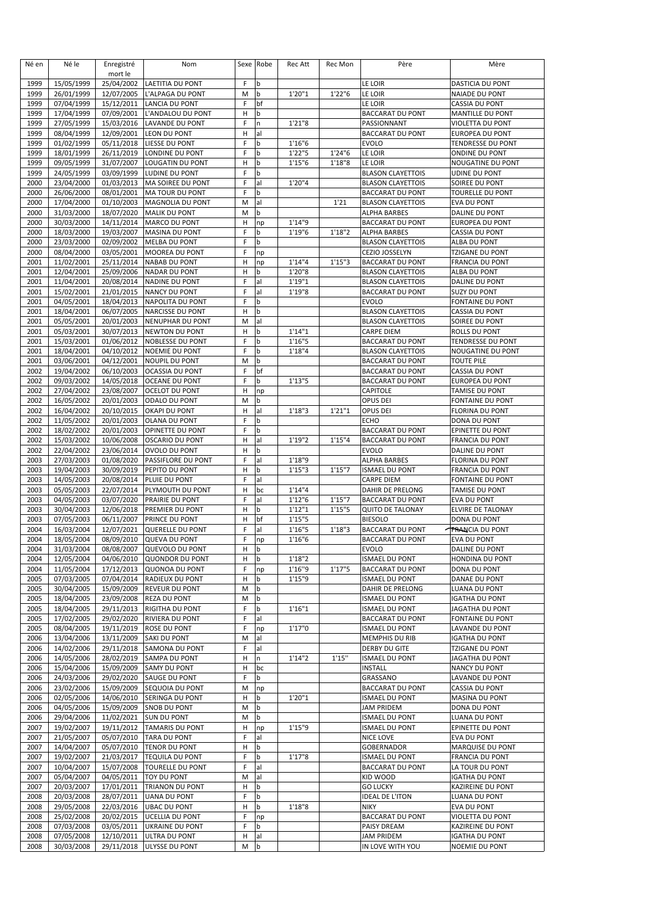| Né en        | Né le                    | Enregistré<br>mort le    | Nom                                           |        | Sexe Robe | Rec Att          | Rec Mon | Père                                           | Mère                               |
|--------------|--------------------------|--------------------------|-----------------------------------------------|--------|-----------|------------------|---------|------------------------------------------------|------------------------------------|
| 1999         | 15/05/1999               | 25/04/2002               | <b>LAETITIA DU PONT</b>                       | F      | b         |                  |         | LE LOIR                                        | DASTICIA DU PONT                   |
| 1999         | 26/01/1999               | 12/07/2005               | L'ALPAGA DU PONT                              | M      | þ         | 1'20''1          | 1'22''6 | LE LOIR                                        | NAIADE DU PONT                     |
| 1999         | 07/04/1999               | 15/12/2011               | <b>LANCIA DU PONT</b>                         | F      | bf        |                  |         | <b>LE LOIR</b>                                 | CASSIA DU PONT                     |
| 1999         | 17/04/1999               | 07/09/2001               | L'ANDALOU DU PONT                             | н      | b         |                  |         | <b>BACCARAT DU PONT</b>                        | MANTILLE DU PONT                   |
| 1999         | 27/05/1999               | 15/03/2016               | <b>LAVANDE DU PONT</b>                        | F      | n         | 1'21''8          |         | PASSIONNANT                                    | VIOLETTA DU PONT                   |
| 1999         | 08/04/1999               | 12/09/2001               | <b>LEON DU PONT</b>                           | н      | al        |                  |         | <b>BACCARAT DU PONT</b>                        | <b>EUROPEA DU PONT</b>             |
| 1999         | 01/02/1999               | 05/11/2018               | LIESSE DU PONT                                | F      | b         | 1'16''6          |         | <b>EVOLO</b>                                   | TENDRESSE DU PONT                  |
| 1999         | 18/01/1999               | 26/11/2019               | LONDINE DU PONT                               | F      | b         | 1'22"5           | 1'24''6 | LE LOIR                                        | ONDINE DU PONT                     |
| 1999         | 09/05/1999               | 31/07/2007               | LOUGATIN DU PONT                              | н      | b         | 1'15''6          | 1'18''8 | LE LOIR                                        | NOUGATINE DU PONT                  |
| 1999         | 24/05/1999               | 03/09/1999               | LUDINE DU PONT                                | F      | b         |                  |         | <b>BLASON CLAYETTOIS</b>                       | <b>UDINE DU PONT</b>               |
| 2000         | 23/04/2000               | 01/03/2013               | MA SOIREE DU PONT                             | F      | al        | 1'20"4           |         | <b>BLASON CLAYETTOIS</b>                       | SOIREE DU PONT                     |
| 2000         | 26/06/2000               | 08/01/2001               | MA TOUR DU PONT                               | F      | þ         |                  |         | <b>BACCARAT DU PONT</b>                        | TOURELLE DU PONT                   |
| 2000         | 17/04/2000               | 01/10/2003               | <b>MAGNOLIA DU PONT</b>                       | M      | al        |                  | 1'21    | <b>BLASON CLAYETTOIS</b>                       | EVA DU PONT                        |
| 2000<br>2000 | 31/03/2000               | 18/07/2020               | <b>MALIK DU PONT</b>                          | M<br>н | b         | 1'14"9           |         | ALPHA BARBES<br><b>BACCARAT DU PONT</b>        | DALINE DU PONT                     |
| 2000         | 30/03/2000<br>18/03/2000 | 14/11/2014<br>19/03/2007 | MARCO DU PONT<br><b>MASINA DU PONT</b>        | F      | np<br>b   | 1'19"6           | 1'18''2 | ALPHA BARBES                                   | EUROPEA DU PONT<br>CASSIA DU PONT  |
| 2000         | 23/03/2000               | 02/09/2002               | <b>MELBA DU PONT</b>                          | F      | b         |                  |         | <b>BLASON CLAYETTOIS</b>                       | ALBA DU PONT                       |
| 2000         | 08/04/2000               | 03/05/2001               | MOOREA DU PONT                                | F      | np        |                  |         | CEZIO JOSSELYN                                 | TZIGANE DU PONT                    |
| 2001         | 11/02/2001               | 25/11/2014               | <b>NABAB DU PONT</b>                          | н      | np        | 1'14''4          | 1'15''3 | <b>BACCARAT DU PONT</b>                        | <b>FRANCIA DU PONT</b>             |
| 2001         | 12/04/2001               | 25/09/2006               | <b>NADAR DU PONT</b>                          | Η      | b         | 1'20"8           |         | <b>BLASON CLAYETTOIS</b>                       | ALBA DU PONT                       |
| 2001         | 11/04/2001               | 20/08/2014               | <b>NADINE DU PONT</b>                         | F      | al        | 1'19"1           |         | <b>BLASON CLAYETTOIS</b>                       | DALINE DU PONT                     |
| 2001         | 15/02/2001               | 21/01/2015               | <b>NANCY DU PONT</b>                          | F      | al        | 1'19"8           |         | <b>BACCARAT DU PONT</b>                        | <b>SUZY DU PONT</b>                |
| 2001         | 04/05/2001               | 18/04/2013               | NAPOLITA DU PONT                              | F      | b         |                  |         | <b>EVOLO</b>                                   | FONTAINE DU PONT                   |
| 2001         | 18/04/2001               | 06/07/2005               | NARCISSE DU PONT                              | н      | þ         |                  |         | <b>BLASON CLAYETTOIS</b>                       | <b>CASSIA DU PONT</b>              |
| 2001         | 05/05/2001               | 20/01/2003               | NENUPHAR DU PONT                              | M      | al        |                  |         | <b>BLASON CLAYETTOIS</b>                       | SOIREE DU PONT                     |
| 2001         | 05/03/2001               | 30/07/2013               | <b>NEWTON DU PONT</b>                         | Η      | b         | 1'14''1          |         | <b>CARPE DIEM</b>                              | ROLLS DU PONT                      |
| 2001         | 15/03/2001               | 01/06/2012               | <b>NOBLESSE DU PONT</b>                       | F      | b         | 1'16"5           |         | <b>BACCARAT DU PONT</b>                        | TENDRESSE DU PONT                  |
| 2001         | 18/04/2001               | 04/10/2012               | <b>NOEMIE DU PONT</b>                         | F      | b         | 1'18''4          |         | <b>BLASON CLAYETTOIS</b>                       | NOUGATINE DU PONT                  |
| 2001         | 03/06/2001               | 04/12/2001               | <b>NOUPIL DU PONT</b>                         | M      | b         |                  |         | <b>BACCARAT DU PONT</b>                        | <b>TOUTE PILE</b>                  |
| 2002         | 19/04/2002               | 06/10/2003               | <b>OCASSIA DU PONT</b>                        | F      | bf        |                  |         | <b>BACCARAT DU PONT</b>                        | CASSIA DU PONT                     |
| 2002         | 09/03/2002               | 14/05/2018               | <b>OCEANE DU PONT</b>                         | F      | b         | 1'13''5          |         | <b>BACCARAT DU PONT</b>                        | <b>EUROPEA DU PONT</b>             |
| 2002<br>2002 | 27/04/2002               | 23/08/2007<br>20/01/2003 | <b>OCELOT DU PONT</b><br>ODALO DU PONT        | н<br>M | np        |                  |         | <b>CAPITOLE</b><br>OPUS DEI                    | TAMISE DU PONT<br>FONTAINE DU PONT |
| 2002         | 16/05/2002<br>16/04/2002 | 20/10/2015               | <b>OKAPI DU PONT</b>                          | н      | b<br>al   | 1'18''3          | 1'21''1 | OPUS DEI                                       | <b>FLORINA DU PONT</b>             |
| 2002         | 11/05/2002               | 20/01/2003               | <b>OLANA DU PONT</b>                          | F      | b         |                  |         | <b>ECHO</b>                                    | DONA DU PONT                       |
| 2002         | 18/02/2002               | 20/01/2003               | OPINETTE DU PONT                              | F      | þ         |                  |         | <b>BACCARAT DU PONT</b>                        | EPINETTE DU PONT                   |
| 2002         | 15/03/2002               | 10/06/2008               | <b>OSCARIO DU PONT</b>                        | н      | al        | 1'19"2           | 1'15''4 | <b>BACCARAT DU PONT</b>                        | <b>FRANCIA DU PONT</b>             |
| 2002         | 22/04/2002               | 23/06/2014               | OVOLO DU PONT                                 | н      | b         |                  |         | <b>EVOLO</b>                                   | DALINE DU PONT                     |
| 2003         | 27/03/2003               | 01/08/2020               | PASSIFLORE DU PONT                            | F      | al        | 1'18"9           |         | ALPHA BARBES                                   | <b>FLORINA DU PONT</b>             |
| 2003         | 19/04/2003               | 30/09/2019               | PEPITO DU PONT                                | н      | b         | 1'15''3          | 1'15''7 | <b>ISMAEL DU PONT</b>                          | <b>FRANCIA DU PONT</b>             |
| 2003         | 14/05/2003               | 20/08/2014               | PLUIE DU PONT                                 | F      | al        |                  |         | <b>CARPE DIEM</b>                              | FONTAINE DU PONT                   |
| 2003         | 05/05/2003               | 22/07/2014               | PLYMOUTH DU PONT                              | н      | bc        | 1'14''4          |         | DAHIR DE PRELONG                               | TAMISE DU PONT                     |
| 2003         | 04/05/2003               | 03/07/2020               | PRAIRIE DU PONT                               | F      | al        | 1'12''6          | 1'15''7 | <b>BACCARAT DU PONT</b>                        | EVA DU PONT                        |
| 2003         | 30/04/2003               | 12/06/2018               | PREMIER DU PONT                               | н      | b         | 1'12''1          | 1'15''5 | <b>QUITO DE TALONAY</b>                        | <b>ELVIRE DE TALONAY</b>           |
| 2003         | 07/05/2003               | 06/11/2007               | PRINCE DU PONT                                | н      | bf        | 1'15''5          |         | <b>BIESOLO</b>                                 | DONA DU PONT                       |
| 2004         | 16/03/2004               | 12/07/2021               | QUERELLE DU PONT                              | F      | al        | 1'16"5           | 1'18''3 | <b>BACCARAT DU PONT</b>                        | <b>FRANCIA DU PONT</b>             |
| 2004         | 18/05/2004               | 08/09/2010               | <b>QUEVA DU PONT</b>                          | F      | np        | 1'16"6           |         | <b>BACCARAT DU PONT</b>                        | <b>EVA DU PONT</b>                 |
| 2004         | 31/03/2004<br>12/05/2004 |                          | 08/08/2007 QUEVOLO DU PONT                    | н      | b         |                  |         | <b>EVOLO</b><br><b>ISMAEL DU PONT</b>          | DALINE DU PONT                     |
| 2004<br>2004 |                          | 04/06/2010               | QUONDOR DU PONT<br>QUONOA DU PONT             | н<br>F | b         | 1'18"2<br>1'16"9 | 1'17''5 | <b>BACCARAT DU PONT</b>                        | HONDINA DU PONT<br>DONA DU PONT    |
| 2005         | 11/05/2004<br>07/03/2005 | 17/12/2013<br>07/04/2014 | <b>RADIEUX DU PONT</b>                        | Η      | np<br>b   | 1'15"9           |         | <b>ISMAEL DU PONT</b>                          | DANAE DU PONT                      |
| 2005         | 30/04/2005               | 15/09/2009               | <b>REVEUR DU PONT</b>                         | M      | b         |                  |         | DAHIR DE PRELONG                               | LUANA DU PONT                      |
| 2005         | 18/04/2005               | 23/09/2008               | <b>REZA DU PONT</b>                           | M      | þ         |                  |         | <b>ISMAEL DU PONT</b>                          | <b>IGATHA DU PONT</b>              |
| 2005         | 18/04/2005               | 29/11/2013               | RIGITHA DU PONT                               | F      | b         | 1'16''1          |         | <b>ISMAEL DU PONT</b>                          | JAGATHA DU PONT                    |
| 2005         | 17/02/2005               | 29/02/2020               | RIVIERA DU PONT                               | F      | al        |                  |         | <b>BACCARAT DU PONT</b>                        | FONTAINE DU PONT                   |
| 2005         | 08/04/2005               | 19/11/2019               | ROSE DU PONT                                  | F      | np        | 1'17"0           |         | <b>ISMAEL DU PONT</b>                          | LAVANDE DU PONT                    |
| 2006         | 13/04/2006               | 13/11/2009               | <b>SAKI DU PONT</b>                           | M      | al        |                  |         | <b>MEMPHIS DU RIB</b>                          | <b>IGATHA DU PONT</b>              |
| 2006         | 14/02/2006               | 29/11/2018               | <b>SAMONA DU PONT</b>                         | F      | al        |                  |         | <b>DERBY DU GITE</b>                           | TZIGANE DU PONT                    |
| 2006         | 14/05/2006               | 28/02/2019               | <b>SAMPA DU PONT</b>                          | н      | n         | 1'14''2          | 1'15''  | <b>ISMAEL DU PONT</b>                          | JAGATHA DU PONT                    |
| 2006         | 15/04/2006               | 15/09/2009               | <b>SAMY DU PONT</b>                           | н      | bc        |                  |         | <b>INSTALL</b>                                 | NANCY DU PONT                      |
| 2006         | 24/03/2006               | 29/02/2020               | <b>SAUGE DU PONT</b>                          | F      | b         |                  |         | GRASSANO                                       | <b>LAVANDE DU PONT</b>             |
| 2006         | 23/02/2006               | 15/09/2009               | <b>SEQUOIA DU PONT</b>                        | M      | np        |                  |         | BACCARAT DU PONT                               | CASSIA DU PONT                     |
| 2006         | 02/05/2006               | 14/06/2010               | SERINGA DU PONT                               | н      | b         | 1'20''1          |         | <b>ISMAEL DU PONT</b>                          | MASINA DU PONT                     |
| 2006         | 04/05/2006               | 15/09/2009               | <b>SNOB DU PONT</b>                           | M      | þ         |                  |         | <b>JAM PRIDEM</b>                              | DONA DU PONT                       |
| 2006<br>2007 | 29/04/2006<br>19/02/2007 | 11/02/2021<br>19/11/2012 | <b>SUN DU PONT</b>                            | M<br>Η | b         | 1'15"9           |         | <b>ISMAEL DU PONT</b><br><b>ISMAEL DU PONT</b> | LUANA DU PONT<br>EPINETTE DU PONT  |
| 2007         | 21/05/2007               | 05/07/2010               | <b>TAMARIS DU PONT</b><br><b>TARA DU PONT</b> | F      | np<br>al  |                  |         | NICE LOVE                                      | EVA DU PONT                        |
| 2007         | 14/04/2007               | 05/07/2010               | <b>TENOR DU PONT</b>                          | н      | b         |                  |         | <b>GOBERNADOR</b>                              | MARQUISE DU PONT                   |
| 2007         | 19/02/2007               | 21/03/2017               | <b>TEQUILA DU PONT</b>                        | F      | b         | 1'17''8          |         | <b>ISMAEL DU PONT</b>                          | FRANCIA DU PONT                    |
| 2007         | 10/04/2007               | 15/07/2008               | <b>TOURELLE DU PONT</b>                       | F      | al        |                  |         | <b>BACCARAT DU PONT</b>                        | LA TOUR DU PONT                    |
| 2007         | 05/04/2007               | 04/05/2011               | <b>TOY DU PONT</b>                            | M      | al        |                  |         | KID WOOD                                       | <b>IGATHA DU PONT</b>              |
| 2007         | 20/03/2007               | 17/01/2011               | <b>TRIANON DU PONT</b>                        | Η      | b         |                  |         | <b>GO LUCKY</b>                                | KAZIREINE DU PONT                  |
| 2008         | 20/03/2008               | 28/07/2011               | <b>UANA DU PONT</b>                           | F      | b         |                  |         | <b>IDEAL DE L'ITON</b>                         | LUANA DU PONT                      |
| 2008         | 29/05/2008               | 22/03/2016               | <b>UBAC DU PONT</b>                           | Η      | þ         | 1'18''8          |         | <b>NIKY</b>                                    | EVA DU PONT                        |
| 2008         | 25/02/2008               | 20/02/2015               | <b>UCELLIA DU PONT</b>                        | F      | np        |                  |         | <b>BACCARAT DU PONT</b>                        | VIOLETTA DU PONT                   |
| 2008         | 07/03/2008               | 03/05/2011               | <b>UKRAINE DU PONT</b>                        | F      | b         |                  |         | PAISY DREAM                                    | KAZIREINE DU PONT                  |
| 2008         | 07/05/2008               | 12/10/2011               | ULTRA DU PONT                                 | н      | al        |                  |         | JAM PRIDEM                                     | <b>IGATHA DU PONT</b>              |
| 2008         | 30/03/2008               | 29/11/2018               | ULYSSE DU PONT                                | М      | b         |                  |         | IN LOVE WITH YOU                               | NOEMIE DU PONT                     |